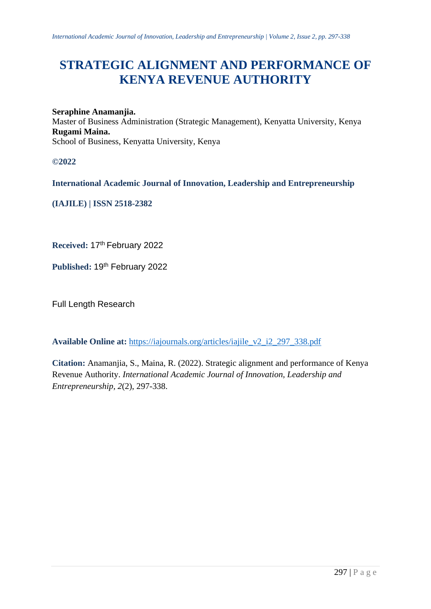# **STRATEGIC ALIGNMENT AND PERFORMANCE OF KENYA REVENUE AUTHORITY**

#### **Seraphine Anamanjia.**

Master of Business Administration (Strategic Management), Kenyatta University, Kenya **Rugami Maina.** School of Business, Kenyatta University, Kenya

**©2022**

**International Academic Journal of Innovation, Leadership and Entrepreneurship** 

**(IAJILE) | ISSN 2518-2382**

**Received:** 17th February 2022

Published: 19<sup>th</sup> February 2022

Full Length Research

**Available Online at:** [https://iajournals.org/articles/iajile\\_v2\\_i2\\_297\\_338.pdf](https://iajournals.org/articles/iajile_v2_i2_297_338.pdf)

**Citation:** Anamanjia, S., Maina, R. (2022). Strategic alignment and performance of Kenya Revenue Authority. *International Academic Journal of Innovation, Leadership and Entrepreneurship, 2*(2), 297-338.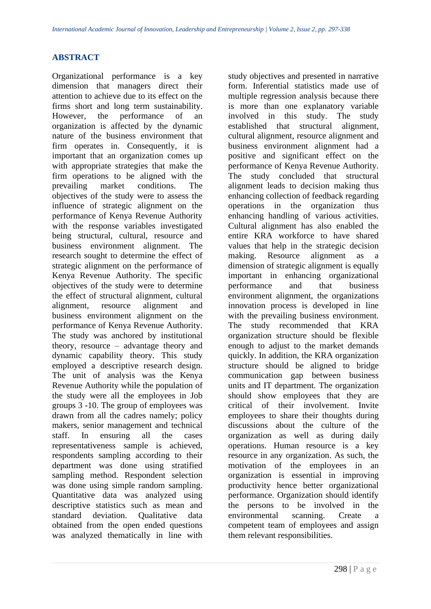# **ABSTRACT**

Organizational performance is a key dimension that managers direct their attention to achieve due to its effect on the firms short and long term sustainability. However, the performance of an organization is affected by the dynamic nature of the business environment that firm operates in. Consequently, it is important that an organization comes up with appropriate strategies that make the firm operations to be aligned with the prevailing market conditions. The objectives of the study were to assess the influence of strategic alignment on the performance of Kenya Revenue Authority with the response variables investigated being structural, cultural, resource and business environment alignment. The research sought to determine the effect of strategic alignment on the performance of Kenya Revenue Authority. The specific objectives of the study were to determine the effect of structural alignment, cultural alignment, resource alignment and business environment alignment on the performance of Kenya Revenue Authority. The study was anchored by institutional theory, resource – advantage theory and dynamic capability theory. This study employed a descriptive research design. The unit of analysis was the Kenya Revenue Authority while the population of the study were all the employees in Job groups 3 -10. The group of employees was drawn from all the cadres namely; policy makers, senior management and technical staff. In ensuring all the cases representativeness sample is achieved, respondents sampling according to their department was done using stratified sampling method. Respondent selection was done using simple random sampling. Quantitative data was analyzed using descriptive statistics such as mean and standard deviation. Qualitative data obtained from the open ended questions was analyzed thematically in line with

study objectives and presented in narrative form. Inferential statistics made use of multiple regression analysis because there is more than one explanatory variable involved in this study. The study established that structural alignment, cultural alignment, resource alignment and business environment alignment had a positive and significant effect on the performance of Kenya Revenue Authority. The study concluded that structural alignment leads to decision making thus enhancing collection of feedback regarding operations in the organization thus enhancing handling of various activities. Cultural alignment has also enabled the entire KRA workforce to have shared values that help in the strategic decision making. Resource alignment as a dimension of strategic alignment is equally important in enhancing organizational performance and that business environment alignment, the organizations innovation process is developed in line with the prevailing business environment. The study recommended that KRA organization structure should be flexible enough to adjust to the market demands quickly. In addition, the KRA organization structure should be aligned to bridge communication gap between business units and IT department. The organization should show employees that they are critical of their involvement. Invite employees to share their thoughts during discussions about the culture of the organization as well as during daily operations. Human resource is a key resource in any organization. As such, the motivation of the employees in an organization is essential in improving productivity hence better organizational performance. Organization should identify the persons to be involved in the environmental scanning. Create a competent team of employees and assign them relevant responsibilities.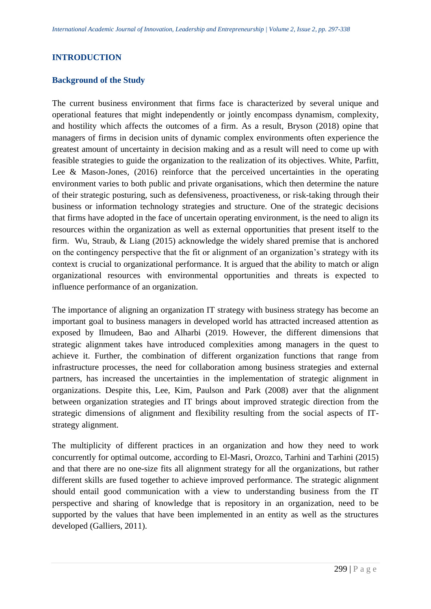# **INTRODUCTION**

# **Background of the Study**

The current business environment that firms face is characterized by several unique and operational features that might independently or jointly encompass dynamism, complexity, and hostility which affects the outcomes of a firm. As a result, Bryson (2018) opine that managers of firms in decision units of dynamic complex environments often experience the greatest amount of uncertainty in decision making and as a result will need to come up with feasible strategies to guide the organization to the realization of its objectives. White, Parfitt, Lee & Mason-Jones, (2016) reinforce that the perceived uncertainties in the operating environment varies to both public and private organisations, which then determine the nature of their strategic posturing, such as defensiveness, proactiveness, or risk-taking through their business or information technology strategies and structure. One of the strategic decisions that firms have adopted in the face of uncertain operating environment, is the need to align its resources within the organization as well as external opportunities that present itself to the firm. Wu, Straub, & Liang (2015) acknowledge the widely shared premise that is anchored on the contingency perspective that the fit or alignment of an organization's strategy with its context is crucial to organizational performance. It is argued that the ability to match or align organizational resources with environmental opportunities and threats is expected to influence performance of an organization.

The importance of aligning an organization IT strategy with business strategy has become an important goal to business managers in developed world has attracted increased attention as exposed by Ilmudeen, Bao and Alharbi (2019. However, the different dimensions that strategic alignment takes have introduced complexities among managers in the quest to achieve it. Further, the combination of different organization functions that range from infrastructure processes, the need for collaboration among business strategies and external partners, has increased the uncertainties in the implementation of strategic alignment in organizations. Despite this, Lee, Kim, Paulson and Park (2008) aver that the alignment between organization strategies and IT brings about improved strategic direction from the strategic dimensions of alignment and flexibility resulting from the social aspects of ITstrategy alignment.

The multiplicity of different practices in an organization and how they need to work concurrently for optimal outcome, according to El-Masri, Orozco, Tarhini and Tarhini (2015) and that there are no one-size fits all alignment strategy for all the organizations, but rather different skills are fused together to achieve improved performance. The strategic alignment should entail good communication with a view to understanding business from the IT perspective and sharing of knowledge that is repository in an organization, need to be supported by the values that have been implemented in an entity as well as the structures developed (Galliers, 2011).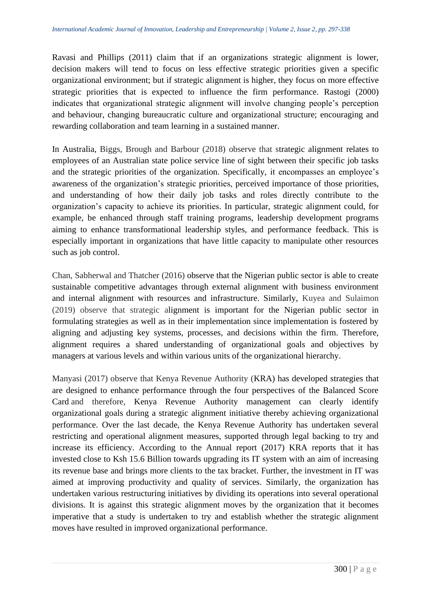Ravasi and Phillips (2011) claim that if an organizations strategic alignment is lower, decision makers will tend to focus on less effective strategic priorities given a specific organizational environment; but if strategic alignment is higher, they focus on more effective strategic priorities that is expected to influence the firm performance. Rastogi (2000) indicates that organizational strategic alignment will involve changing people's perception and behaviour, changing bureaucratic culture and organizational structure; encouraging and rewarding collaboration and team learning in a sustained manner.

In Australia, Biggs, Brough and Barbour (2018) observe that strategic alignment relates to employees of an Australian state police service line of sight between their specific job tasks and the strategic priorities of the organization. Specifically, it encompasses an employee's awareness of the organization's strategic priorities, perceived importance of those priorities, and understanding of how their daily job tasks and roles directly contribute to the organization's capacity to achieve its priorities. In particular, strategic alignment could, for example, be enhanced through staff training programs, leadership development programs aiming to enhance transformational leadership styles, and performance feedback. This is especially important in organizations that have little capacity to manipulate other resources such as job control.

Chan, Sabherwal and Thatcher (2016) observe that the Nigerian public sector is able to create sustainable competitive advantages through external alignment with business environment and internal alignment with resources and infrastructure. Similarly, Kuyea and Sulaimon (2019) observe that strategic alignment is important for the Nigerian public sector in formulating strategies as well as in their implementation since implementation is fostered by aligning and adjusting key systems, processes, and decisions within the firm. Therefore, alignment requires a shared understanding of organizational goals and objectives by managers at various levels and within various units of the organizational hierarchy.

Manyasi (2017) observe that Kenya Revenue Authority (KRA) has developed strategies that are designed to enhance performance through the four perspectives of the Balanced Score Card and therefore, Kenya Revenue Authority management can clearly identify organizational goals during a strategic alignment initiative thereby achieving organizational performance. Over the last decade, the Kenya Revenue Authority has undertaken several restricting and operational alignment measures, supported through legal backing to try and increase its efficiency. According to the Annual report (2017) KRA reports that it has invested close to Ksh 15.6 Billion towards upgrading its IT system with an aim of increasing its revenue base and brings more clients to the tax bracket. Further, the investment in IT was aimed at improving productivity and quality of services. Similarly, the organization has undertaken various restructuring initiatives by dividing its operations into several operational divisions. It is against this strategic alignment moves by the organization that it becomes imperative that a study is undertaken to try and establish whether the strategic alignment moves have resulted in improved organizational performance.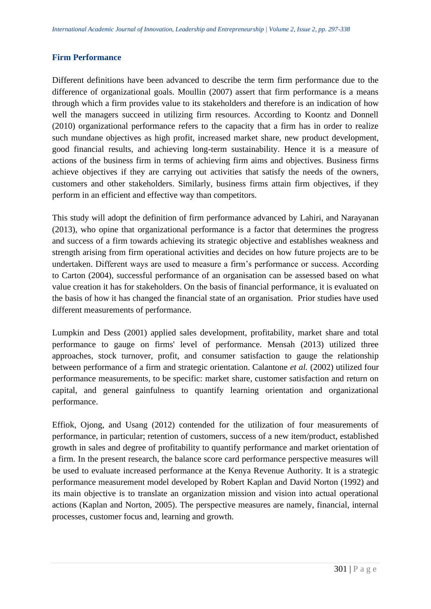#### **Firm Performance**

Different definitions have been advanced to describe the term firm performance due to the difference of organizational goals. Moullin (2007) assert that firm performance is a means through which a firm provides value to its stakeholders and therefore is an indication of how well the managers succeed in utilizing firm resources. According to Koontz and Donnell (2010) organizational performance refers to the capacity that a firm has in order to realize such mundane objectives as high profit, increased market share, new product development, good financial results, and achieving long-term sustainability. Hence it is a measure of actions of the business firm in terms of achieving firm aims and objectives. Business firms achieve objectives if they are carrying out activities that satisfy the needs of the owners, customers and other stakeholders. Similarly, business firms attain firm objectives, if they perform in an efficient and effective way than competitors.

This study will adopt the definition of firm performance advanced by Lahiri, and Narayanan (2013), who opine that organizational performance is a factor that determines the progress and success of a firm towards achieving its strategic objective and establishes weakness and strength arising from firm operational activities and decides on how future projects are to be undertaken. Different ways are used to measure a firm's performance or success. According to Carton (2004), successful performance of an organisation can be assessed based on what value creation it has for stakeholders. On the basis of financial performance, it is evaluated on the basis of how it has changed the financial state of an organisation. Prior studies have used different measurements of performance.

Lumpkin and Dess (2001) applied sales development, profitability, market share and total performance to gauge on firms' level of performance. Mensah (2013) utilized three approaches, stock turnover, profit, and consumer satisfaction to gauge the relationship between performance of a firm and strategic orientation. Calantone *et al.* (2002) utilized four performance measurements, to be specific: market share, customer satisfaction and return on capital, and general gainfulness to quantify learning orientation and organizational performance.

Effiok, Ojong, and Usang (2012) contended for the utilization of four measurements of performance, in particular; retention of customers, success of a new item/product, established growth in sales and degree of profitability to quantify performance and market orientation of a firm. In the present research, the balance score card performance perspective measures will be used to evaluate increased performance at the Kenya Revenue Authority. It is a strategic performance measurement model developed by Robert Kaplan and David Norton (1992) and its main objective is to translate an organization mission and vision into actual operational actions (Kaplan and Norton, 2005). The perspective measures are namely, financial, internal processes, customer focus and, learning and growth.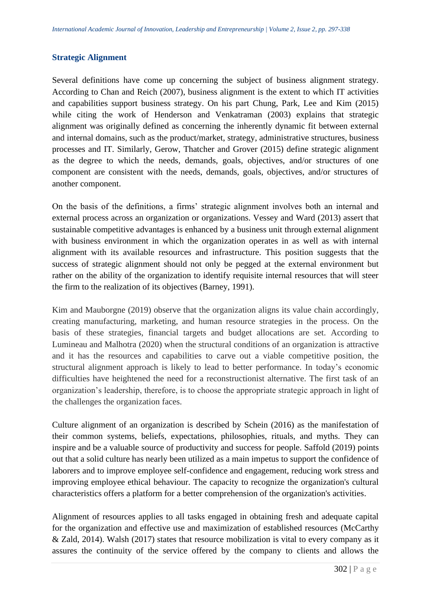# **Strategic Alignment**

Several definitions have come up concerning the subject of business alignment strategy. According to Chan and Reich (2007), business alignment is the extent to which IT activities and capabilities support business strategy. On his part Chung, Park, Lee and Kim (2015) while citing the work of Henderson and Venkatraman (2003) explains that strategic alignment was originally defined as concerning the inherently dynamic fit between external and internal domains, such as the product/market, strategy, administrative structures, business processes and IT. Similarly, Gerow, Thatcher and Grover (2015) define strategic alignment as the degree to which the needs, demands, goals, objectives, and/or structures of one component are consistent with the needs, demands, goals, objectives, and/or structures of another component.

On the basis of the definitions, a firms' strategic alignment involves both an internal and external process across an organization or organizations. Vessey and Ward (2013) assert that sustainable competitive advantages is enhanced by a business unit through external alignment with business environment in which the organization operates in as well as with internal alignment with its available resources and infrastructure. This position suggests that the success of strategic alignment should not only be pegged at the external environment but rather on the ability of the organization to identify requisite internal resources that will steer the firm to the realization of its objectives (Barney, 1991).

Kim and Mauborgne (2019) observe that the organization aligns its value chain accordingly, creating manufacturing, marketing, and human resource strategies in the process. On the basis of these strategies, financial targets and budget allocations are set. According to Lumineau and Malhotra (2020) when the structural conditions of an organization is attractive and it has the resources and capabilities to carve out a viable competitive position, the structural alignment approach is likely to lead to better performance. In today's economic difficulties have heightened the need for a reconstructionist alternative. The first task of an organization's leadership, therefore, is to choose the appropriate strategic approach in light of the challenges the organization faces.

Culture alignment of an organization is described by Schein (2016) as the manifestation of their common systems, beliefs, expectations, philosophies, rituals, and myths. They can inspire and be a valuable source of productivity and success for people. Saffold (2019) points out that a solid culture has nearly been utilized as a main impetus to support the confidence of laborers and to improve employee self-confidence and engagement, reducing work stress and improving employee ethical behaviour. The capacity to recognize the organization's cultural characteristics offers a platform for a better comprehension of the organization's activities.

Alignment of resources applies to all tasks engaged in obtaining fresh and adequate capital for the organization and effective use and maximization of established resources (McCarthy & Zald, 2014). Walsh (2017) states that resource mobilization is vital to every company as it assures the continuity of the service offered by the company to clients and allows the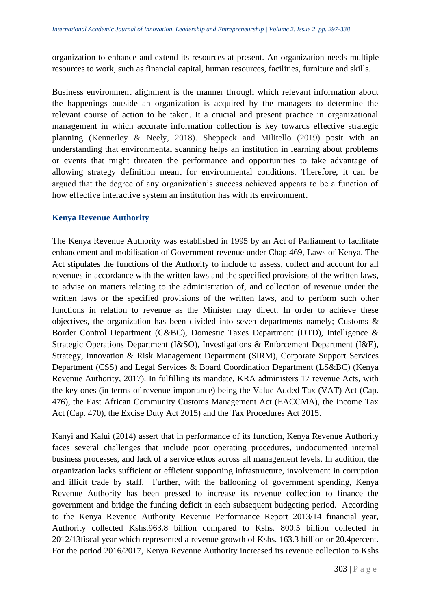organization to enhance and extend its resources at present. An organization needs multiple resources to work, such as financial capital, human resources, facilities, furniture and skills.

Business environment alignment is the manner through which relevant information about the happenings outside an organization is acquired by the managers to determine the relevant course of action to be taken. It a crucial and present practice in organizational management in which accurate information collection is key towards effective strategic planning (Kennerley & Neely, 2018). Sheppeck and Militello (2019) posit with an understanding that environmental scanning helps an institution in learning about problems or events that might threaten the performance and opportunities to take advantage of allowing strategy definition meant for environmental conditions. Therefore, it can be argued that the degree of any organization's success achieved appears to be a function of how effective interactive system an institution has with its environment.

# **Kenya Revenue Authority**

The Kenya Revenue Authority was established in 1995 by an Act of Parliament to facilitate enhancement and mobilisation of Government revenue under Chap 469, Laws of Kenya. The Act stipulates the functions of the Authority to include to assess, collect and account for all revenues in accordance with the written laws and the specified provisions of the written laws, to advise on matters relating to the administration of, and collection of revenue under the written laws or the specified provisions of the written laws, and to perform such other functions in relation to revenue as the Minister may direct. In order to achieve these objectives, the organization has been divided into seven departments namely; Customs & Border Control Department (C&BC), Domestic Taxes Department (DTD), Intelligence & Strategic Operations Department (I&SO), Investigations & Enforcement Department (I&E), Strategy, Innovation & Risk Management Department (SIRM), Corporate Support Services Department (CSS) and Legal Services & Board Coordination Department (LS&BC) (Kenya Revenue Authority, 2017). In fulfilling its mandate, KRA administers 17 revenue Acts, with the key ones (in terms of revenue importance) being the Value Added Tax (VAT) Act (Cap. 476), the East African Community Customs Management Act (EACCMA), the Income Tax Act (Cap. 470), the Excise Duty Act 2015) and the Tax Procedures Act 2015.

Kanyi and Kalui (2014) assert that in performance of its function, Kenya Revenue Authority faces several challenges that include poor operating procedures, undocumented internal business processes, and lack of a service ethos across all management levels. In addition, the organization lacks sufficient or efficient supporting infrastructure, involvement in corruption and illicit trade by staff. Further, with the ballooning of government spending, Kenya Revenue Authority has been pressed to increase its revenue collection to finance the government and bridge the funding deficit in each subsequent budgeting period. According to the Kenya Revenue Authority Revenue Performance Report 2013/14 financial year, Authority collected Kshs.963.8 billion compared to Kshs. 800.5 billion collected in 2012/13fiscal year which represented a revenue growth of Kshs. 163.3 billion or 20.4percent. For the period 2016/2017, Kenya Revenue Authority increased its revenue collection to Kshs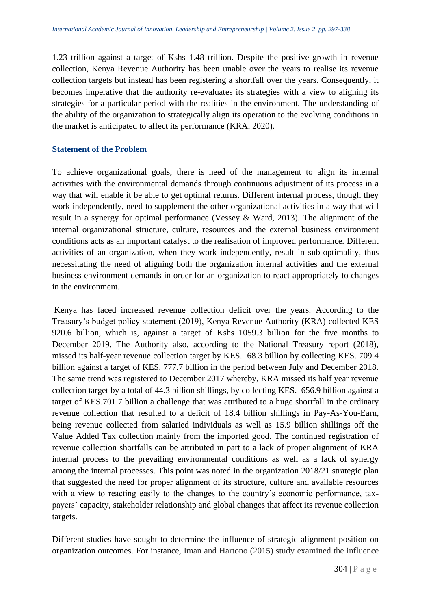1.23 trillion against a target of Kshs 1.48 trillion. Despite the positive growth in revenue collection, Kenya Revenue Authority has been unable over the years to realise its revenue collection targets but instead has been registering a shortfall over the years. Consequently, it becomes imperative that the authority re-evaluates its strategies with a view to aligning its strategies for a particular period with the realities in the environment. The understanding of the ability of the organization to strategically align its operation to the evolving conditions in the market is anticipated to affect its performance (KRA, 2020).

# **Statement of the Problem**

To achieve organizational goals, there is need of the management to align its internal activities with the environmental demands through continuous adjustment of its process in a way that will enable it be able to get optimal returns. Different internal process, though they work independently, need to supplement the other organizational activities in a way that will result in a synergy for optimal performance (Vessey & Ward, 2013). The alignment of the internal organizational structure, culture, resources and the external business environment conditions acts as an important catalyst to the realisation of improved performance. Different activities of an organization, when they work independently, result in sub-optimality, thus necessitating the need of aligning both the organization internal activities and the external business environment demands in order for an organization to react appropriately to changes in the environment.

Kenya has faced increased revenue collection deficit over the years. According to the Treasury's budget policy statement (2019), Kenya Revenue Authority (KRA) collected KES 920.6 billion, which is, against a target of Kshs 1059.3 billion for the five months to December 2019. The Authority also, according to the National Treasury report (2018), missed its half-year revenue collection target by KES. 68.3 billion by collecting KES. 709.4 billion against a target of KES. 777.7 billion in the period between July and December 2018. The same trend was registered to December 2017 whereby, KRA missed its half year revenue collection target by a total of 44.3 billion shillings, by collecting KES. 656.9 billion against a target of KES.701.7 billion a challenge that was attributed to a huge shortfall in the ordinary revenue collection that resulted to a deficit of 18.4 billion shillings in Pay-As-You-Earn, being revenue collected from salaried individuals as well as 15.9 billion shillings off the Value Added Tax collection mainly from the imported good. The continued registration of revenue collection shortfalls can be attributed in part to a lack of proper alignment of KRA internal process to the prevailing environmental conditions as well as a lack of synergy among the internal processes. This point was noted in the organization 2018/21 strategic plan that suggested the need for proper alignment of its structure, culture and available resources with a view to reacting easily to the changes to the country's economic performance, taxpayers' capacity, stakeholder relationship and global changes that affect its revenue collection targets.

Different studies have sought to determine the influence of strategic alignment position on organization outcomes. For instance, Iman and Hartono (2015) study examined the influence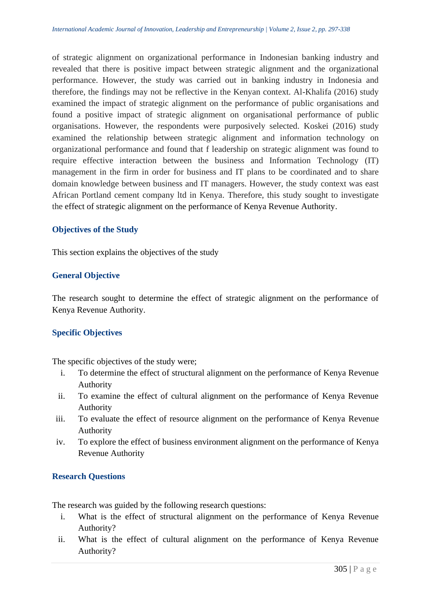of strategic alignment on organizational performance in Indonesian banking industry and revealed that there is positive impact between strategic alignment and the organizational performance. However, the study was carried out in banking industry in Indonesia and therefore, the findings may not be reflective in the Kenyan context. Al-Khalifa (2016) study examined the impact of strategic alignment on the performance of public organisations and found a positive impact of strategic alignment on organisational performance of public organisations. However, the respondents were purposively selected. Koskei (2016) study examined the relationship between strategic alignment and information technology on organizational performance and found that f leadership on strategic alignment was found to require effective interaction between the business and Information Technology (IT) management in the firm in order for business and IT plans to be coordinated and to share domain knowledge between business and IT managers. However, the study context was east African Portland cement company ltd in Kenya. Therefore, this study sought to investigate the effect of strategic alignment on the performance of Kenya Revenue Authority.

# **Objectives of the Study**

This section explains the objectives of the study

# **General Objective**

The research sought to determine the effect of strategic alignment on the performance of Kenya Revenue Authority.

#### **Specific Objectives**

The specific objectives of the study were;

- i. To determine the effect of structural alignment on the performance of Kenya Revenue Authority
- ii. To examine the effect of cultural alignment on the performance of Kenya Revenue Authority
- iii. To evaluate the effect of resource alignment on the performance of Kenya Revenue Authority
- iv. To explore the effect of business environment alignment on the performance of Kenya Revenue Authority

#### **Research Questions**

The research was guided by the following research questions:

- i. What is the effect of structural alignment on the performance of Kenya Revenue Authority?
- ii. What is the effect of cultural alignment on the performance of Kenya Revenue Authority?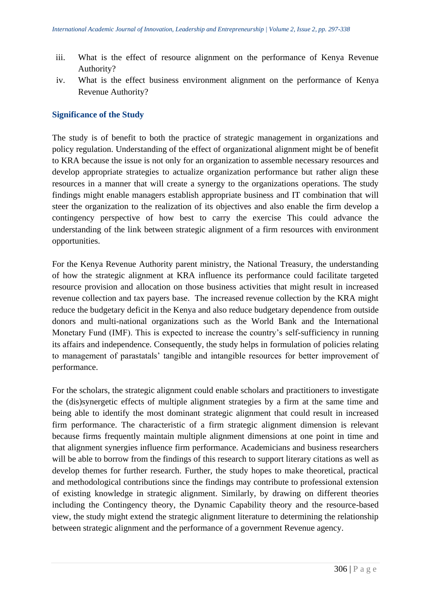- iii. What is the effect of resource alignment on the performance of Kenya Revenue Authority?
- iv. What is the effect business environment alignment on the performance of Kenya Revenue Authority?

## **Significance of the Study**

The study is of benefit to both the practice of strategic management in organizations and policy regulation. Understanding of the effect of organizational alignment might be of benefit to KRA because the issue is not only for an organization to assemble necessary resources and develop appropriate strategies to actualize organization performance but rather align these resources in a manner that will create a synergy to the organizations operations. The study findings might enable managers establish appropriate business and IT combination that will steer the organization to the realization of its objectives and also enable the firm develop a contingency perspective of how best to carry the exercise This could advance the understanding of the link between strategic alignment of a firm resources with environment opportunities.

For the Kenya Revenue Authority parent ministry, the National Treasury, the understanding of how the strategic alignment at KRA influence its performance could facilitate targeted resource provision and allocation on those business activities that might result in increased revenue collection and tax payers base. The increased revenue collection by the KRA might reduce the budgetary deficit in the Kenya and also reduce budgetary dependence from outside donors and multi-national organizations such as the World Bank and the International Monetary Fund (IMF). This is expected to increase the country's self-sufficiency in running its affairs and independence. Consequently, the study helps in formulation of policies relating to management of parastatals' tangible and intangible resources for better improvement of performance.

For the scholars, the strategic alignment could enable scholars and practitioners to investigate the (dis)synergetic effects of multiple alignment strategies by a firm at the same time and being able to identify the most dominant strategic alignment that could result in increased firm performance. The characteristic of a firm strategic alignment dimension is relevant because firms frequently maintain multiple alignment dimensions at one point in time and that alignment synergies influence firm performance. Academicians and business researchers will be able to borrow from the findings of this research to support literary citations as well as develop themes for further research. Further, the study hopes to make theoretical, practical and methodological contributions since the findings may contribute to professional extension of existing knowledge in strategic alignment. Similarly, by drawing on different theories including the Contingency theory, the Dynamic Capability theory and the resource-based view, the study might extend the strategic alignment literature to determining the relationship between strategic alignment and the performance of a government Revenue agency.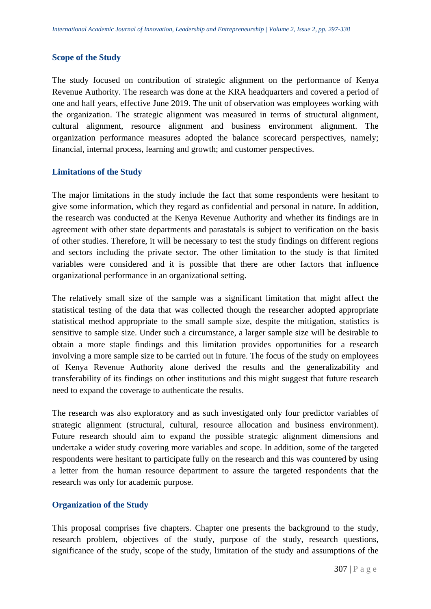#### **Scope of the Study**

The study focused on contribution of strategic alignment on the performance of Kenya Revenue Authority. The research was done at the KRA headquarters and covered a period of one and half years, effective June 2019. The unit of observation was employees working with the organization. The strategic alignment was measured in terms of structural alignment, cultural alignment, resource alignment and business environment alignment. The organization performance measures adopted the balance scorecard perspectives, namely; financial, internal process, learning and growth; and customer perspectives.

#### **Limitations of the Study**

The major limitations in the study include the fact that some respondents were hesitant to give some information, which they regard as confidential and personal in nature. In addition, the research was conducted at the Kenya Revenue Authority and whether its findings are in agreement with other state departments and parastatals is subject to verification on the basis of other studies. Therefore, it will be necessary to test the study findings on different regions and sectors including the private sector. The other limitation to the study is that limited variables were considered and it is possible that there are other factors that influence organizational performance in an organizational setting.

The relatively small size of the sample was a significant limitation that might affect the statistical testing of the data that was collected though the researcher adopted appropriate statistical method appropriate to the small sample size, despite the mitigation, statistics is sensitive to sample size. Under such a circumstance, a larger sample size will be desirable to obtain a more staple findings and this limitation provides opportunities for a research involving a more sample size to be carried out in future. The focus of the study on employees of Kenya Revenue Authority alone derived the results and the generalizability and transferability of its findings on other institutions and this might suggest that future research need to expand the coverage to authenticate the results.

The research was also exploratory and as such investigated only four predictor variables of strategic alignment (structural, cultural, resource allocation and business environment). Future research should aim to expand the possible strategic alignment dimensions and undertake a wider study covering more variables and scope. In addition, some of the targeted respondents were hesitant to participate fully on the research and this was countered by using a letter from the human resource department to assure the targeted respondents that the research was only for academic purpose.

#### **Organization of the Study**

This proposal comprises five chapters. Chapter one presents the background to the study, research problem, objectives of the study, purpose of the study, research questions, significance of the study, scope of the study, limitation of the study and assumptions of the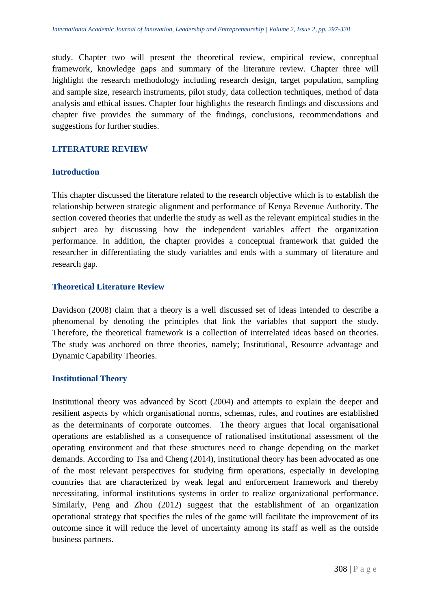study. Chapter two will present the theoretical review, empirical review, conceptual framework, knowledge gaps and summary of the literature review. Chapter three will highlight the research methodology including research design, target population, sampling and sample size, research instruments, pilot study, data collection techniques, method of data analysis and ethical issues. Chapter four highlights the research findings and discussions and chapter five provides the summary of the findings, conclusions, recommendations and suggestions for further studies.

# **LITERATURE REVIEW**

#### **Introduction**

This chapter discussed the literature related to the research objective which is to establish the relationship between strategic alignment and performance of Kenya Revenue Authority. The section covered theories that underlie the study as well as the relevant empirical studies in the subject area by discussing how the independent variables affect the organization performance. In addition, the chapter provides a conceptual framework that guided the researcher in differentiating the study variables and ends with a summary of literature and research gap.

#### **Theoretical Literature Review**

Davidson (2008) claim that a theory is a well discussed set of ideas intended to describe a phenomenal by denoting the principles that link the variables that support the study. Therefore, the theoretical framework is a collection of interrelated ideas based on theories. The study was anchored on three theories, namely; Institutional, Resource advantage and Dynamic Capability Theories.

#### **Institutional Theory**

Institutional theory was advanced by Scott (2004) and attempts to explain the deeper and resilient aspects by which organisational norms, schemas, rules, and routines are established as the determinants of corporate outcomes. The theory argues that local organisational operations are established as a consequence of rationalised institutional assessment of the operating environment and that these structures need to change depending on the market demands. According to Tsa and Cheng (2014), institutional theory has been advocated as one of the most relevant perspectives for studying firm operations, especially in developing countries that are characterized by weak legal and enforcement framework and thereby necessitating, informal institutions systems in order to realize organizational performance. Similarly, Peng and Zhou (2012) suggest that the establishment of an organization operational strategy that specifies the rules of the game will facilitate the improvement of its outcome since it will reduce the level of uncertainty among its staff as well as the outside business partners.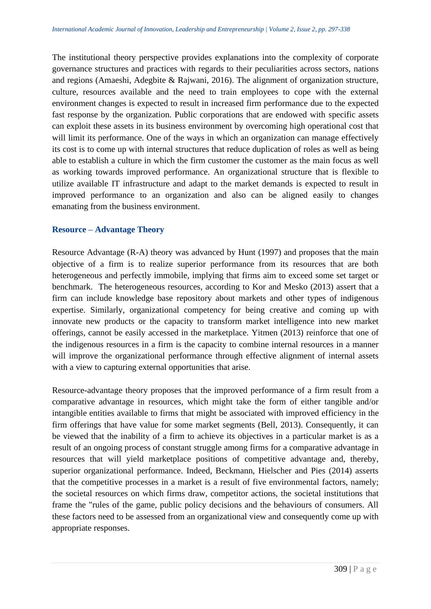The institutional theory perspective provides explanations into the complexity of corporate governance structures and practices with regards to their peculiarities across sectors, nations and regions (Amaeshi, Adegbite & Rajwani, 2016). The alignment of organization structure, culture, resources available and the need to train employees to cope with the external environment changes is expected to result in increased firm performance due to the expected fast response by the organization. Public corporations that are endowed with specific assets can exploit these assets in its business environment by overcoming high operational cost that will limit its performance. One of the ways in which an organization can manage effectively its cost is to come up with internal structures that reduce duplication of roles as well as being able to establish a culture in which the firm customer the customer as the main focus as well as working towards improved performance. An organizational structure that is flexible to utilize available IT infrastructure and adapt to the market demands is expected to result in improved performance to an organization and also can be aligned easily to changes emanating from the business environment.

#### **Resource – Advantage Theory**

Resource Advantage (R-A) theory was advanced by Hunt (1997) and proposes that the main objective of a firm is to realize superior performance from its resources that are both heterogeneous and perfectly immobile, implying that firms aim to exceed some set target or benchmark. The heterogeneous resources, according to Kor and Mesko (2013) assert that a firm can include knowledge base repository about markets and other types of indigenous expertise. Similarly, organizational competency for being creative and coming up with innovate new products or the capacity to transform market intelligence into new market offerings, cannot be easily accessed in the marketplace. Yitmen (2013) reinforce that one of the indigenous resources in a firm is the capacity to combine internal resources in a manner will improve the organizational performance through effective alignment of internal assets with a view to capturing external opportunities that arise.

Resource-advantage theory proposes that the improved performance of a firm result from a comparative advantage in resources, which might take the form of either tangible and/or intangible entities available to firms that might be associated with improved efficiency in the firm offerings that have value for some market segments (Bell, 2013). Consequently, it can be viewed that the inability of a firm to achieve its objectives in a particular market is as a result of an ongoing process of constant struggle among firms for a comparative advantage in resources that will yield marketplace positions of competitive advantage and, thereby, superior organizational performance. Indeed, Beckmann, Hielscher and Pies (2014) asserts that the competitive processes in a market is a result of five environmental factors, namely; the societal resources on which firms draw, competitor actions, the societal institutions that frame the "rules of the game, public policy decisions and the behaviours of consumers. All these factors need to be assessed from an organizational view and consequently come up with appropriate responses.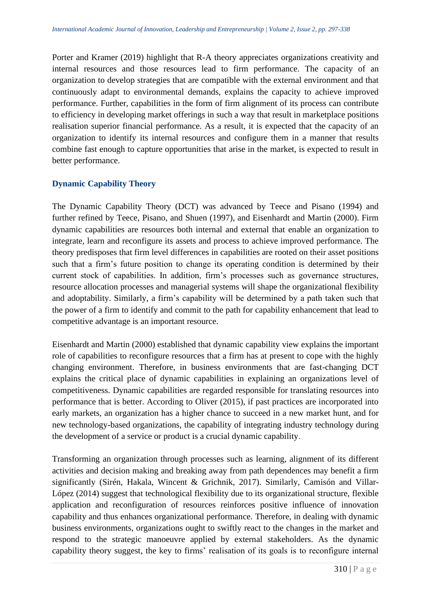Porter and Kramer (2019) highlight that R-A theory appreciates organizations creativity and internal resources and those resources lead to firm performance. The capacity of an organization to develop strategies that are compatible with the external environment and that continuously adapt to environmental demands, explains the capacity to achieve improved performance. Further, capabilities in the form of firm alignment of its process can contribute to efficiency in developing market offerings in such a way that result in marketplace positions realisation superior financial performance. As a result, it is expected that the capacity of an organization to identify its internal resources and configure them in a manner that results combine fast enough to capture opportunities that arise in the market, is expected to result in better performance.

# **Dynamic Capability Theory**

The Dynamic Capability Theory (DCT) was advanced by Teece and Pisano (1994) and further refined by Teece, Pisano, and Shuen (1997), and Eisenhardt and Martin (2000). Firm dynamic capabilities are resources both internal and external that enable an organization to integrate, learn and reconfigure its assets and process to achieve improved performance. The theory predisposes that firm level differences in capabilities are rooted on their asset positions such that a firm's future position to change its operating condition is determined by their current stock of capabilities. In addition, firm's processes such as governance structures, resource allocation processes and managerial systems will shape the organizational flexibility and adoptability. Similarly, a firm's capability will be determined by a path taken such that the power of a firm to identify and commit to the path for capability enhancement that lead to competitive advantage is an important resource.

Eisenhardt and Martin (2000) established that dynamic capability view explains the important role of capabilities to reconfigure resources that a firm has at present to cope with the highly changing environment. Therefore, in business environments that are fast-changing DCT explains the critical place of dynamic capabilities in explaining an organizations level of competitiveness. Dynamic capabilities are regarded responsible for translating resources into performance that is better. According to Oliver (2015), if past practices are incorporated into early markets, an organization has a higher chance to succeed in a new market hunt, and for new technology-based organizations, the capability of integrating industry technology during the development of a service or product is a crucial dynamic capability.

Transforming an organization through processes such as learning, alignment of its different activities and decision making and breaking away from path dependences may benefit a firm significantly (Sirén, Hakala, Wincent & Grichnik, 2017). Similarly, Camisón and Villar-López (2014) suggest that technological flexibility due to its organizational structure, flexible application and reconfiguration of resources reinforces positive influence of innovation capability and thus enhances organizational performance. Therefore, in dealing with dynamic business environments, organizations ought to swiftly react to the changes in the market and respond to the strategic manoeuvre applied by external stakeholders. As the dynamic capability theory suggest, the key to firms' realisation of its goals is to reconfigure internal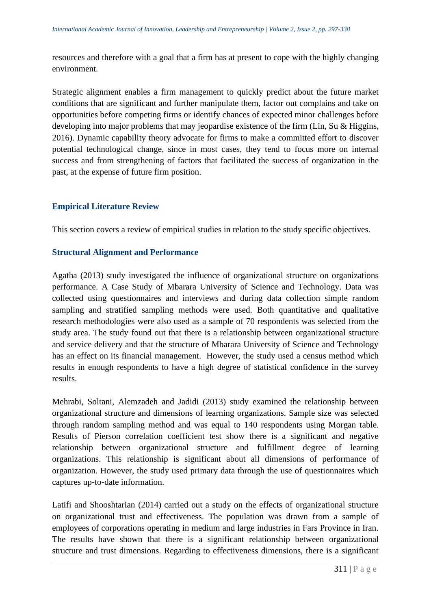resources and therefore with a goal that a firm has at present to cope with the highly changing environment.

Strategic alignment enables a firm management to quickly predict about the future market conditions that are significant and further manipulate them, factor out complains and take on opportunities before competing firms or identify chances of expected minor challenges before developing into major problems that may jeopardise existence of the firm (Lin, Su & Higgins, 2016). Dynamic capability theory advocate for firms to make a committed effort to discover potential technological change, since in most cases, they tend to focus more on internal success and from strengthening of factors that facilitated the success of organization in the past, at the expense of future firm position.

# **Empirical Literature Review**

This section covers a review of empirical studies in relation to the study specific objectives.

# **Structural Alignment and Performance**

Agatha (2013) study investigated the influence of organizational structure on organizations performance. A Case Study of Mbarara University of Science and Technology. Data was collected using questionnaires and interviews and during data collection simple random sampling and stratified sampling methods were used. Both quantitative and qualitative research methodologies were also used as a sample of 70 respondents was selected from the study area. The study found out that there is a relationship between organizational structure and service delivery and that the structure of Mbarara University of Science and Technology has an effect on its financial management. However, the study used a census method which results in enough respondents to have a high degree of statistical confidence in the survey results.

Mehrabi, Soltani, Alemzadeh and Jadidi (2013) study examined the relationship between organizational structure and dimensions of learning organizations. Sample size was selected through random sampling method and was equal to 140 respondents using Morgan table. Results of Pierson correlation coefficient test show there is a significant and negative relationship between organizational structure and fulfillment degree of learning organizations. This relationship is significant about all dimensions of performance of organization. However, the study used primary data through the use of questionnaires which captures up-to-date information.

Latifi and Shooshtarian (2014) carried out a study on the effects of organizational structure on organizational trust and effectiveness. The population was drawn from a sample of employees of corporations operating in medium and large industries in Fars Province in Iran. The results have shown that there is a significant relationship between organizational structure and trust dimensions. Regarding to effectiveness dimensions, there is a significant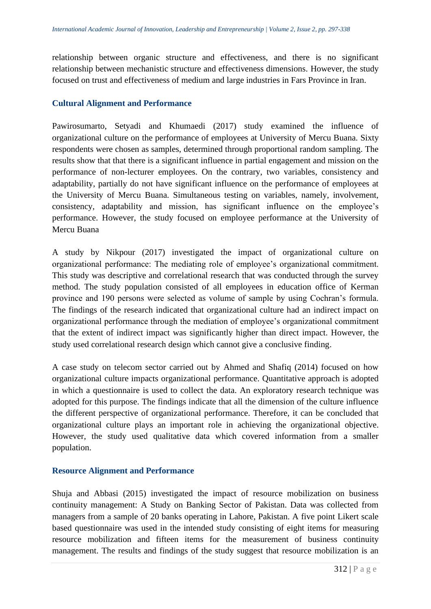relationship between organic structure and effectiveness, and there is no significant relationship between mechanistic structure and effectiveness dimensions. However, the study focused on trust and effectiveness of medium and large industries in Fars Province in Iran.

# **Cultural Alignment and Performance**

Pawirosumarto, Setyadi and Khumaedi (2017) study examined the influence of organizational culture on the performance of employees at University of Mercu Buana. Sixty respondents were chosen as samples, determined through proportional random sampling. The results show that that there is a significant influence in partial engagement and mission on the performance of non-lecturer employees. On the contrary, two variables, consistency and adaptability, partially do not have significant influence on the performance of employees at the University of Mercu Buana. Simultaneous testing on variables, namely, involvement, consistency, adaptability and mission, has significant influence on the employee's performance. However, the study focused on employee performance at the University of Mercu Buana

A study by Nikpour (2017) investigated the impact of organizational culture on organizational performance: The mediating role of employee's organizational commitment. This study was descriptive and correlational research that was conducted through the survey method. The study population consisted of all employees in education office of Kerman province and 190 persons were selected as volume of sample by using Cochran's formula. The findings of the research indicated that organizational culture had an indirect impact on organizational performance through the mediation of employee's organizational commitment that the extent of indirect impact was significantly higher than direct impact. However, the study used correlational research design which cannot give a conclusive finding.

A case study on telecom sector carried out by Ahmed and Shafiq (2014) focused on how organizational culture impacts organizational performance. Quantitative approach is adopted in which a questionnaire is used to collect the data. An exploratory research technique was adopted for this purpose. The findings indicate that all the dimension of the culture influence the different perspective of organizational performance. Therefore, it can be concluded that organizational culture plays an important role in achieving the organizational objective. However, the study used qualitative data which covered information from a smaller population.

#### **Resource Alignment and Performance**

Shuja and Abbasi (2015) investigated the impact of resource mobilization on business continuity management: A Study on Banking Sector of Pakistan. Data was collected from managers from a sample of 20 banks operating in Lahore, Pakistan. A five point Likert scale based questionnaire was used in the intended study consisting of eight items for measuring resource mobilization and fifteen items for the measurement of business continuity management. The results and findings of the study suggest that resource mobilization is an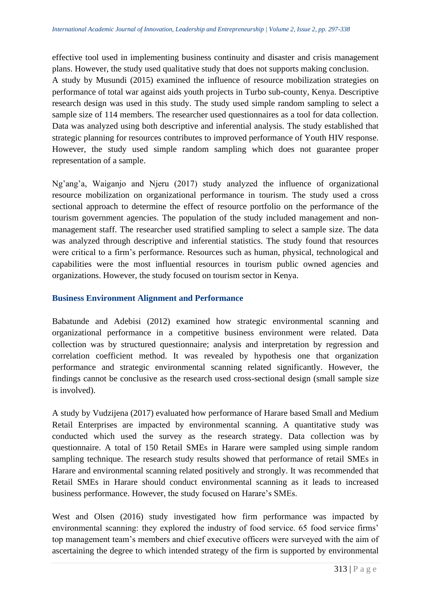effective tool used in implementing business continuity and disaster and crisis management plans. However, the study used qualitative study that does not supports making conclusion. A study by Musundi (2015) examined the influence of resource mobilization strategies on performance of total war against aids youth projects in Turbo sub-county, Kenya. Descriptive research design was used in this study. The study used simple random sampling to select a sample size of 114 members. The researcher used questionnaires as a tool for data collection. Data was analyzed using both descriptive and inferential analysis. The study established that strategic planning for resources contributes to improved performance of Youth HIV response. However, the study used simple random sampling which does not guarantee proper representation of a sample.

Ng'ang'a, Waiganjo and Njeru (2017) study analyzed the influence of organizational resource mobilization on organizational performance in tourism. The study used a cross sectional approach to determine the effect of resource portfolio on the performance of the tourism government agencies. The population of the study included management and nonmanagement staff. The researcher used stratified sampling to select a sample size. The data was analyzed through descriptive and inferential statistics. The study found that resources were critical to a firm's performance. Resources such as human, physical, technological and capabilities were the most influential resources in tourism public owned agencies and organizations. However, the study focused on tourism sector in Kenya.

# **Business Environment Alignment and Performance**

Babatunde and Adebisi (2012) examined how strategic environmental scanning and organizational performance in a competitive business environment were related. Data collection was by structured questionnaire; analysis and interpretation by regression and correlation coefficient method. It was revealed by hypothesis one that organization performance and strategic environmental scanning related significantly. However, the findings cannot be conclusive as the research used cross-sectional design (small sample size is involved).

A study by Vudzijena (2017) evaluated how performance of Harare based Small and Medium Retail Enterprises are impacted by environmental scanning. A quantitative study was conducted which used the survey as the research strategy. Data collection was by questionnaire. A total of 150 Retail SMEs in Harare were sampled using simple random sampling technique. The research study results showed that performance of retail SMEs in Harare and environmental scanning related positively and strongly. It was recommended that Retail SMEs in Harare should conduct environmental scanning as it leads to increased business performance. However, the study focused on Harare's SMEs.

West and Olsen (2016) study investigated how firm performance was impacted by environmental scanning: they explored the industry of food service. 65 food service firms' top management team's members and chief executive officers were surveyed with the aim of ascertaining the degree to which intended strategy of the firm is supported by environmental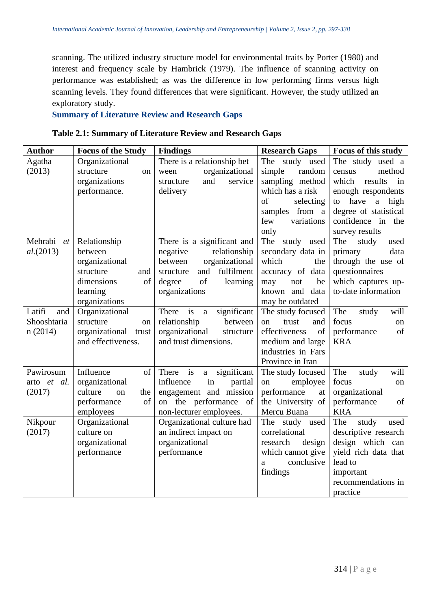scanning. The utilized industry structure model for environmental traits by Porter (1980) and interest and frequency scale by Hambrick (1979). The influence of scanning activity on performance was established; as was the difference in low performing firms versus high scanning levels. They found differences that were significant. However, the study utilized an exploratory study.

**Summary of Literature Review and Research Gaps**

| Table 2.1: Summary of Literature Review and Research Gaps |  |  |  |  |  |  |  |  |  |  |  |  |  |  |  |  |  |
|-----------------------------------------------------------|--|--|--|--|--|--|--|--|--|--|--|--|--|--|--|--|--|
|-----------------------------------------------------------|--|--|--|--|--|--|--|--|--|--|--|--|--|--|--|--|--|

| <b>Author</b> | <b>Focus of the Study</b> | <b>Findings</b>                                       | <b>Research Gaps</b> | Focus of this study             |
|---------------|---------------------------|-------------------------------------------------------|----------------------|---------------------------------|
| Agatha        | Organizational            | There is a relationship bet                           | The study used       | The study used a                |
| (2013)        | structure<br>on           | organizational<br>ween                                | simple<br>random     | method<br>census                |
|               | organizations             | service<br>and<br>structure                           | sampling method      | which<br>results<br>in          |
|               | performance.              | delivery                                              | which has a risk     | enough respondents              |
|               |                           |                                                       | of<br>selecting      | to have<br>$\mathbf{a}$<br>high |
|               |                           |                                                       | samples from a       | degree of statistical           |
|               |                           |                                                       | few<br>variations    | confidence in the               |
|               |                           |                                                       | only                 | survey results                  |
| Mehrabi<br>et | Relationship              | There is a significant and                            | study used<br>The    | The<br>study<br>used            |
| al. (2013)    | between                   | relationship<br>negative                              | secondary data in    | primary<br>data                 |
|               | organizational            | organizational<br>between                             | which<br>the         | through the use of              |
|               | structure<br>and          | fulfilment<br>and<br>structure                        | accuracy of data     | questionnaires                  |
|               | dimensions<br>of          | of<br>learning<br>degree                              | may<br>be<br>not     | which captures up-              |
|               | learning                  | organizations                                         | known and<br>data    | to-date information             |
|               | organizations             |                                                       | may be outdated      |                                 |
| Latifi<br>and | Organizational            | There is<br>significant<br>a                          | The study focused    | The<br>will<br>study            |
| Shooshtaria   | structure<br>on           | relationship<br>between                               | trust<br>and<br>on   | focus<br>on                     |
| n(2014)       | organizational trust      | organizational<br>structure                           | of<br>effectiveness  | performance<br>of               |
|               | and effectiveness.        | and trust dimensions.                                 | medium and large     | <b>KRA</b>                      |
|               |                           |                                                       | industries in Fars   |                                 |
|               |                           |                                                       | Province in Iran     |                                 |
| Pawirosum     | Influence<br>of           | $\frac{1}{1}$<br>significant<br>There<br>$\mathbf{a}$ | The study focused    | will<br>The<br>study            |
| arto et al.   | organizational            | influence<br>in<br>partial                            | employee<br>on       | focus<br>on                     |
| (2017)        | culture<br>the<br>on      | engagement and mission                                | performance<br>at    | organizational                  |
|               | performance<br>of         | on the performance of                                 | the University of    | performance<br>of               |
|               | employees                 | non-lecturer employees.                               | Mercu Buana          | <b>KRA</b>                      |
| Nikpour       | Organizational            | Organizational culture had                            | The study<br>used    | The<br>study<br>used            |
| (2017)        | culture on                | an indirect impact on                                 | correlational        | descriptive research            |
|               | organizational            | organizational                                        | research<br>design   | design which can                |
|               | performance               | performance                                           | which cannot give    | yield rich data that            |
|               |                           |                                                       | conclusive<br>a      | lead to                         |
|               |                           |                                                       | findings             | important<br>recommendations in |
|               |                           |                                                       |                      |                                 |
|               |                           |                                                       |                      | practice                        |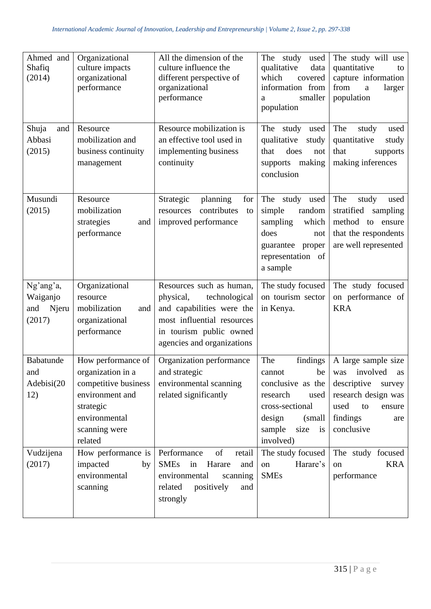| Ahmed and<br>Shafiq<br>(2014)                   | Organizational<br>culture impacts<br>organizational<br>performance                                                                           | All the dimension of the<br>culture influence the<br>different perspective of<br>organizational<br>performance                                                             | The study<br>used<br>qualitative<br>data<br>which<br>covered<br>information from<br>smaller<br>a<br>population                                             | The study will use<br>quantitative<br>to<br>capture information<br>from<br>larger<br>$\rm{a}$<br>population                                              |
|-------------------------------------------------|----------------------------------------------------------------------------------------------------------------------------------------------|----------------------------------------------------------------------------------------------------------------------------------------------------------------------------|------------------------------------------------------------------------------------------------------------------------------------------------------------|----------------------------------------------------------------------------------------------------------------------------------------------------------|
| Shuja<br>and<br>Abbasi<br>(2015)                | Resource<br>mobilization and<br>business continuity<br>management                                                                            | Resource mobilization is<br>an effective tool used in<br>implementing business<br>continuity                                                                               | The study used<br>qualitative<br>study<br>does<br>that<br>not<br>supports making<br>conclusion                                                             | The<br>study<br>used<br>quantitative<br>study<br>that<br>supports<br>making inferences                                                                   |
| Musundi<br>(2015)                               | Resource<br>mobilization<br>strategies<br>and<br>performance                                                                                 | Strategic<br>planning<br>for<br>contributes<br>resources<br>to<br>improved performance                                                                                     | The study used<br>simple<br>random<br>sampling<br>which<br>does<br>not<br>guarantee<br>proper<br>representation of<br>a sample                             | The<br>study<br>used<br>stratified<br>sampling<br>method to ensure<br>that the respondents<br>are well represented                                       |
| Ng'ang'a,<br>Waiganjo<br>and<br>Njeru<br>(2017) | Organizational<br>resource<br>mobilization<br>and<br>organizational<br>performance                                                           | Resources such as human,<br>physical,<br>technological<br>and capabilities were the<br>most influential resources<br>in tourism public owned<br>agencies and organizations | The study focused<br>on tourism sector<br>in Kenya.                                                                                                        | The study focused<br>on performance of<br><b>KRA</b>                                                                                                     |
| Babatunde<br>and<br>Adebisi(20<br>12)           | How performance of<br>organization in a<br>competitive business<br>environment and<br>strategic<br>environmental<br>scanning were<br>related | Organization performance<br>and strategic<br>environmental scanning<br>related significantly                                                                               | The<br>findings<br>cannot<br>conclusive as the<br>research<br>used<br>cross-sectional<br>design<br>(small)<br>sample<br>size<br>$\frac{1}{1}$<br>involved) | A large sample size<br>be   was involved as $ $<br>descriptive<br>survey<br>research design was<br>used<br>to<br>ensure<br>findings<br>are<br>conclusive |
| Vudzijena<br>(2017)                             | How performance is<br>impacted<br>by<br>environmental<br>scanning                                                                            | of<br>Performance<br>retail<br><b>SMEs</b><br>in<br>Harare<br>and<br>environmental<br>scanning<br>related<br>positively<br>and<br>strongly                                 | The study focused<br>Harare's<br>on<br><b>SMEs</b>                                                                                                         | The study focused<br><b>KRA</b><br>on<br>performance                                                                                                     |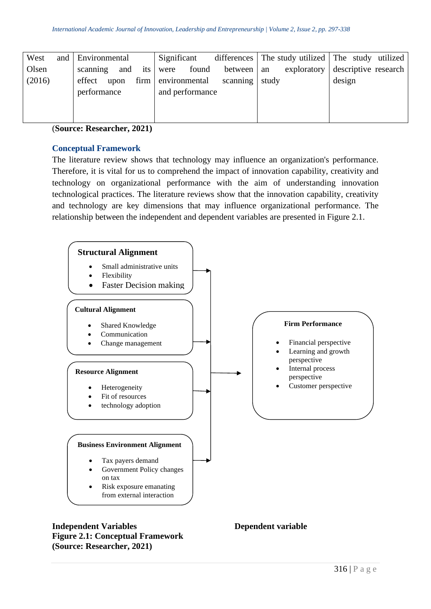| West   | and | <b>Environmental</b>     | Significant     |            |             | differences The study utilized The study utilized |
|--------|-----|--------------------------|-----------------|------------|-------------|---------------------------------------------------|
| Olsen  |     | and<br>its  <br>scanning | found<br>were   | between an | exploratory | descriptive research                              |
| (2016) |     | firm<br>effect<br>upon   | environmental   | scanning   | study       | design                                            |
|        |     | performance              | and performance |            |             |                                                   |
|        |     |                          |                 |            |             |                                                   |
|        |     |                          |                 |            |             |                                                   |

(**Source: Researcher, 2021)**

## **Conceptual Framework**

The literature review shows that technology may influence an organization's performance. Therefore, it is vital for us to comprehend the impact of innovation capability, creativity and technology on organizational performance with the aim of understanding innovation technological practices. The literature reviews show that the innovation capability, creativity and technology are key dimensions that may influence organizational performance. The relationship between the independent and dependent variables are presented in Figure 2.1.



**Independent Variables Dependent variable Figure 2.1: Conceptual Framework (Source: Researcher, 2021)**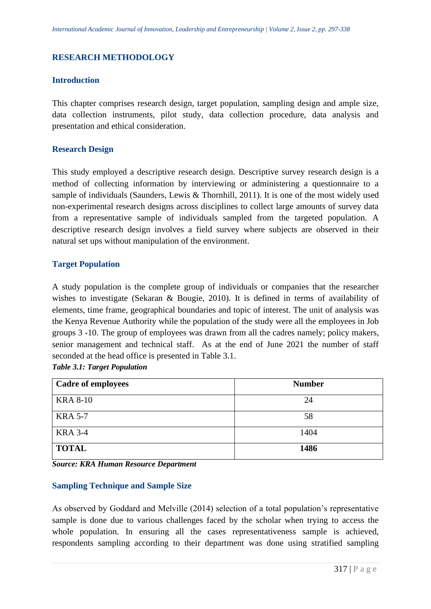# **RESEARCH METHODOLOGY**

# **Introduction**

This chapter comprises research design, target population, sampling design and ample size, data collection instruments, pilot study, data collection procedure, data analysis and presentation and ethical consideration.

## **Research Design**

This study employed a descriptive research design. Descriptive survey research design is a method of collecting information by interviewing or administering a questionnaire to a sample of individuals (Saunders, Lewis & Thornhill, 2011). It is one of the most widely used non-experimental research designs across disciplines to collect large amounts of survey data from a representative sample of individuals sampled from the targeted population. A descriptive research design involves a field survey where subjects are observed in their natural set ups without manipulation of the environment.

# **Target Population**

A study population is the complete group of individuals or companies that the researcher wishes to investigate (Sekaran & Bougie, 2010). It is defined in terms of availability of elements, time frame, geographical boundaries and topic of interest. The unit of analysis was the Kenya Revenue Authority while the population of the study were all the employees in Job groups 3 -10. The group of employees was drawn from all the cadres namely; policy makers, senior management and technical staff. As at the end of June 2021 the number of staff seconded at the head office is presented in Table 3.1.

|  |  |  | <b>Table 3.1: Target Population</b> |
|--|--|--|-------------------------------------|
|--|--|--|-------------------------------------|

| <b>Cadre of employees</b> | <b>Number</b> |
|---------------------------|---------------|
| <b>KRA 8-10</b>           | 24            |
| <b>KRA 5-7</b>            | 58            |
| <b>KRA 3-4</b>            | 1404          |
| <b>TOTAL</b>              | 1486          |

*Source: KRA Human Resource Department* 

#### **Sampling Technique and Sample Size**

As observed by Goddard and Melville (2014) selection of a total population's representative sample is done due to various challenges faced by the scholar when trying to access the whole population. In ensuring all the cases representativeness sample is achieved, respondents sampling according to their department was done using stratified sampling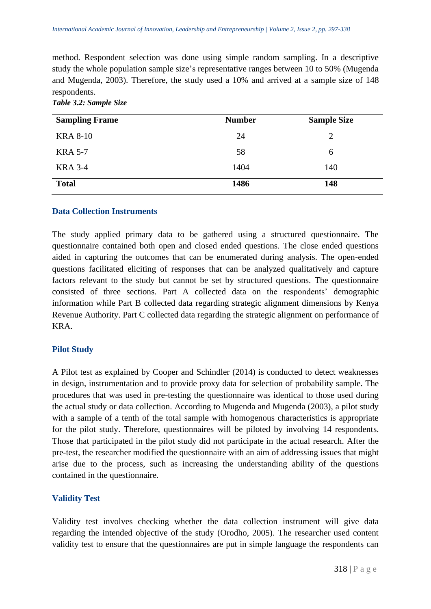method. Respondent selection was done using simple random sampling. In a descriptive study the whole population sample size's representative ranges between 10 to 50% (Mugenda and Mugenda, 2003). Therefore, the study used a 10% and arrived at a sample size of 148 respondents.

| <b>Sampling Frame</b> | <b>Number</b> | <b>Sample Size</b> |
|-----------------------|---------------|--------------------|
| <b>KRA 8-10</b>       | 24            |                    |
| <b>KRA 5-7</b>        | 58            | 6                  |
| <b>KRA 3-4</b>        | 1404          | 140                |
| <b>Total</b>          | 1486          | 148                |

*Table 3.2: Sample Size*

#### **Data Collection Instruments**

The study applied primary data to be gathered using a structured questionnaire. The questionnaire contained both open and closed ended questions. The close ended questions aided in capturing the outcomes that can be enumerated during analysis. The open-ended questions facilitated eliciting of responses that can be analyzed qualitatively and capture factors relevant to the study but cannot be set by structured questions. The questionnaire consisted of three sections. Part A collected data on the respondents' demographic information while Part B collected data regarding strategic alignment dimensions by Kenya Revenue Authority. Part C collected data regarding the strategic alignment on performance of KRA.

# **Pilot Study**

A Pilot test as explained by Cooper and Schindler (2014) is conducted to detect weaknesses in design, instrumentation and to provide proxy data for selection of probability sample. The procedures that was used in pre-testing the questionnaire was identical to those used during the actual study or data collection. According to Mugenda and Mugenda (2003), a pilot study with a sample of a tenth of the total sample with homogenous characteristics is appropriate for the pilot study. Therefore, questionnaires will be piloted by involving 14 respondents. Those that participated in the pilot study did not participate in the actual research. After the pre-test, the researcher modified the questionnaire with an aim of addressing issues that might arise due to the process, such as increasing the understanding ability of the questions contained in the questionnaire.

#### **Validity Test**

Validity test involves checking whether the data collection instrument will give data regarding the intended objective of the study (Orodho, 2005). The researcher used content validity test to ensure that the questionnaires are put in simple language the respondents can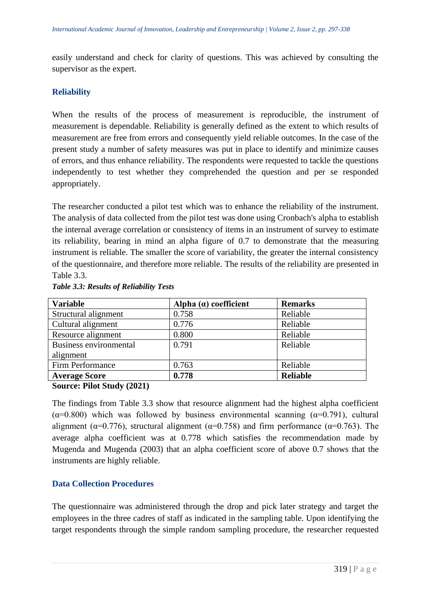easily understand and check for clarity of questions. This was achieved by consulting the supervisor as the expert.

# **Reliability**

When the results of the process of measurement is reproducible, the instrument of measurement is dependable. Reliability is generally defined as the extent to which results of measurement are free from errors and consequently yield reliable outcomes. In the case of the present study a number of safety measures was put in place to identify and minimize causes of errors, and thus enhance reliability. The respondents were requested to tackle the questions independently to test whether they comprehended the question and per se responded appropriately.

The researcher conducted a pilot test which was to enhance the reliability of the instrument. The analysis of data collected from the pilot test was done using Cronbach's alpha to establish the internal average correlation or consistency of items in an instrument of survey to estimate its reliability, bearing in mind an alpha figure of 0.7 to demonstrate that the measuring instrument is reliable. The smaller the score of variability, the greater the internal consistency of the questionnaire, and therefore more reliable. The results of the reliability are presented in Table 3.3.

| <b>Variable</b>        | Alpha $(a)$ coefficient | <b>Remarks</b>  |
|------------------------|-------------------------|-----------------|
| Structural alignment   | 0.758                   | Reliable        |
| Cultural alignment     | 0.776                   | Reliable        |
| Resource alignment     | 0.800                   | Reliable        |
| Business environmental | 0.791                   | Reliable        |
| alignment              |                         |                 |
| Firm Performance       | 0.763                   | Reliable        |
| <b>Average Score</b>   | 0.778                   | <b>Reliable</b> |

#### *Table 3.3: Results of Reliability Tests*

**Source: Pilot Study (2021)**

The findings from Table 3.3 show that resource alignment had the highest alpha coefficient ( $\alpha$ =0.800) which was followed by business environmental scanning ( $\alpha$ =0.791), cultural alignment ( $\alpha$ =0.776), structural alignment ( $\alpha$ =0.758) and firm performance ( $\alpha$ =0.763). The average alpha coefficient was at 0.778 which satisfies the recommendation made by Mugenda and Mugenda (2003) that an alpha coefficient score of above 0.7 shows that the instruments are highly reliable.

# **Data Collection Procedures**

The questionnaire was administered through the drop and pick later strategy and target the employees in the three cadres of staff as indicated in the sampling table. Upon identifying the target respondents through the simple random sampling procedure, the researcher requested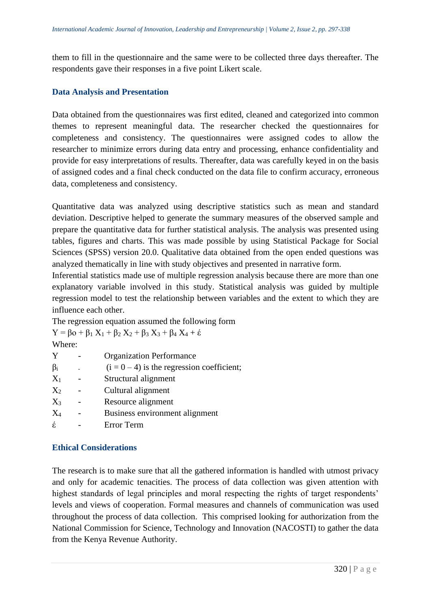them to fill in the questionnaire and the same were to be collected three days thereafter. The respondents gave their responses in a five point Likert scale.

# **Data Analysis and Presentation**

Data obtained from the questionnaires was first edited, cleaned and categorized into common themes to represent meaningful data. The researcher checked the questionnaires for completeness and consistency. The questionnaires were assigned codes to allow the researcher to minimize errors during data entry and processing, enhance confidentiality and provide for easy interpretations of results. Thereafter, data was carefully keyed in on the basis of assigned codes and a final check conducted on the data file to confirm accuracy, erroneous data, completeness and consistency.

Quantitative data was analyzed using descriptive statistics such as mean and standard deviation. Descriptive helped to generate the summary measures of the observed sample and prepare the quantitative data for further statistical analysis. The analysis was presented using tables, figures and charts. This was made possible by using Statistical Package for Social Sciences (SPSS) version 20.0. Qualitative data obtained from the open ended questions was analyzed thematically in line with study objectives and presented in narrative form.

Inferential statistics made use of multiple regression analysis because there are more than one explanatory variable involved in this study. Statistical analysis was guided by multiple regression model to test the relationship between variables and the extent to which they are influence each other.

The regression equation assumed the following form

 $Y = \beta o + \beta_1 X_1 + \beta_2 X_2 + \beta_3 X_3 + \beta_4 X_4 + \epsilon$ Where:

| ,,,,,,,,, |                                              |
|-----------|----------------------------------------------|
| Y         | <b>Organization Performance</b>              |
| $\beta_i$ | $(i = 0 - 4)$ is the regression coefficient; |
| $X_1$     | Structural alignment                         |
| $X_2$     | Cultural alignment                           |
| $X_3$     | Resource alignment                           |
| $X_4$     | Business environment alignment               |
| έ         | Error Term                                   |
|           |                                              |

#### **Ethical Considerations**

The research is to make sure that all the gathered information is handled with utmost privacy and only for academic tenacities. The process of data collection was given attention with highest standards of legal principles and moral respecting the rights of target respondents' levels and views of cooperation. Formal measures and channels of communication was used throughout the process of data collection. This comprised looking for authorization from the National Commission for Science, Technology and Innovation (NACOSTI) to gather the data from the Kenya Revenue Authority.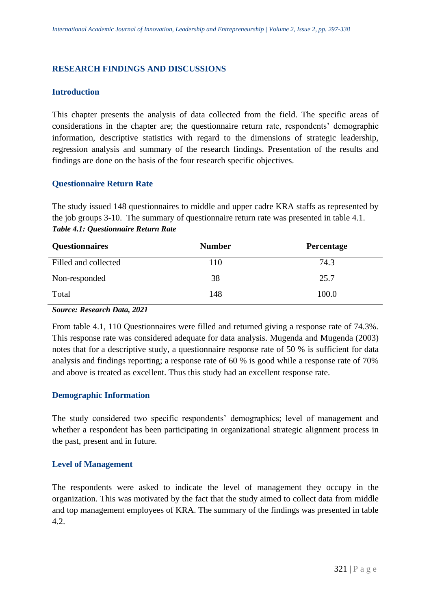# **RESEARCH FINDINGS AND DISCUSSIONS**

#### **Introduction**

This chapter presents the analysis of data collected from the field. The specific areas of considerations in the chapter are; the questionnaire return rate, respondents' demographic information, descriptive statistics with regard to the dimensions of strategic leadership, regression analysis and summary of the research findings. Presentation of the results and findings are done on the basis of the four research specific objectives.

# **Questionnaire Return Rate**

The study issued 148 questionnaires to middle and upper cadre KRA staffs as represented by the job groups 3-10. The summary of questionnaire return rate was presented in table 4.1. *Table 4.1: Questionnaire Return Rate*

| <b>Questionnaires</b> | <b>Number</b> | Percentage |
|-----------------------|---------------|------------|
| Filled and collected  | 110           | 74.3       |
| Non-responded         | 38            | 25.7       |
| Total                 | 148           | 100.0      |

*Source: Research Data, 2021*

From table 4.1, 110 Questionnaires were filled and returned giving a response rate of 74.3%. This response rate was considered adequate for data analysis. Mugenda and Mugenda (2003) notes that for a descriptive study, a questionnaire response rate of 50 % is sufficient for data analysis and findings reporting; a response rate of 60 % is good while a response rate of 70% and above is treated as excellent. Thus this study had an excellent response rate.

# **Demographic Information**

The study considered two specific respondents' demographics; level of management and whether a respondent has been participating in organizational strategic alignment process in the past, present and in future.

# **Level of Management**

The respondents were asked to indicate the level of management they occupy in the organization. This was motivated by the fact that the study aimed to collect data from middle and top management employees of KRA. The summary of the findings was presented in table 4.2.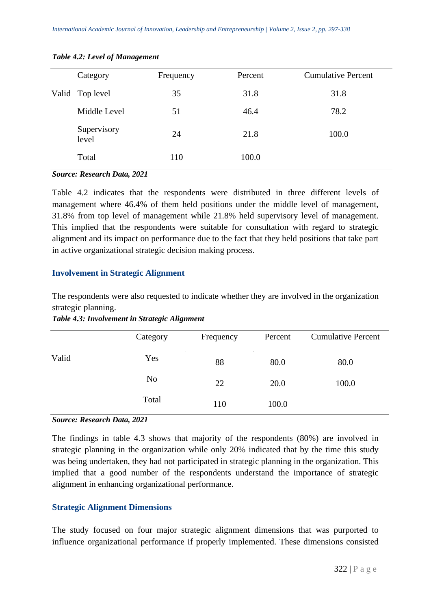|        | Category                                                                   | Frequency | Percent | <b>Cumulative Percent</b> |
|--------|----------------------------------------------------------------------------|-----------|---------|---------------------------|
|        | Valid Top level                                                            | 35        | 31.8    | 31.8                      |
|        | Middle Level                                                               | 51        | 46.4    | 78.2                      |
|        | Supervisory<br>level                                                       | 24        | 21.8    | 100.0                     |
|        | Total                                                                      | 110       | 100.0   |                           |
| $\sim$ | $\mathbf{r}$ $\mathbf{r}$ $\mathbf{r}$ $\mathbf{r}$ $\mathbf{r}$<br>$\sim$ |           |         |                           |

#### *Table 4.2: Level of Management*

#### *Source: Research Data, 2021*

Table 4.2 indicates that the respondents were distributed in three different levels of management where 46.4% of them held positions under the middle level of management, 31.8% from top level of management while 21.8% held supervisory level of management. This implied that the respondents were suitable for consultation with regard to strategic alignment and its impact on performance due to the fact that they held positions that take part in active organizational strategic decision making process.

#### **Involvement in Strategic Alignment**

The respondents were also requested to indicate whether they are involved in the organization strategic planning.

*Table 4.3: Involvement in Strategic Alignment*

|       | Category       | Frequency | Percent | <b>Cumulative Percent</b> |
|-------|----------------|-----------|---------|---------------------------|
| Valid | Yes            | 88        | 80.0    | 80.0                      |
|       | N <sub>0</sub> | 22        | 20.0    | 100.0                     |
|       | Total          | 110       | 100.0   |                           |

#### *Source: Research Data, 2021*

The findings in table 4.3 shows that majority of the respondents (80%) are involved in strategic planning in the organization while only 20% indicated that by the time this study was being undertaken, they had not participated in strategic planning in the organization. This implied that a good number of the respondents understand the importance of strategic alignment in enhancing organizational performance.

#### **Strategic Alignment Dimensions**

The study focused on four major strategic alignment dimensions that was purported to influence organizational performance if properly implemented. These dimensions consisted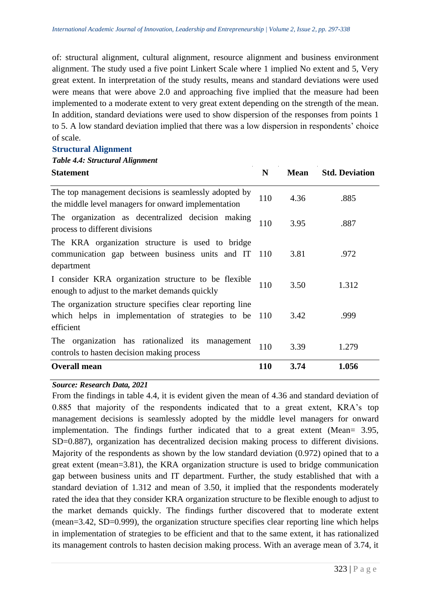of: structural alignment, cultural alignment, resource alignment and business environment alignment. The study used a five point Linkert Scale where 1 implied No extent and 5, Very great extent. In interpretation of the study results, means and standard deviations were used were means that were above 2.0 and approaching five implied that the measure had been implemented to a moderate extent to very great extent depending on the strength of the mean. In addition, standard deviations were used to show dispersion of the responses from points 1 to 5. A low standard deviation implied that there was a low dispersion in respondents' choice of scale.

#### **Structural Alignment**

#### *Table 4.4: Structural Alignment*

| <b>Statement</b>                                                                                                                | N     | <b>Mean</b> | <b>Std. Deviation</b> |
|---------------------------------------------------------------------------------------------------------------------------------|-------|-------------|-----------------------|
| The top management decisions is seamlessly adopted by<br>the middle level managers for onward implementation                    | 110   | 4.36        | .885                  |
| The organization as decentralized decision making<br>process to different divisions                                             | 110   | 3.95        | .887                  |
| The KRA organization structure is used to bridge<br>communication gap between business units and IT<br>department               | - 110 | 3.81        | .972                  |
| I consider KRA organization structure to be flexible<br>enough to adjust to the market demands quickly                          | 110   | 3.50        | 1.312                 |
| The organization structure specifies clear reporting line<br>which helps in implementation of strategies to be 110<br>efficient |       | 3.42        | .999                  |
| The organization has rationalized its<br>management<br>controls to hasten decision making process                               | 110   | 3.39        | 1.279                 |
| <b>Overall mean</b>                                                                                                             | 110   | 3.74        | 1.056                 |

#### *Source: Research Data, 2021*

From the findings in table 4.4, it is evident given the mean of 4.36 and standard deviation of 0.885 that majority of the respondents indicated that to a great extent, KRA's top management decisions is seamlessly adopted by the middle level managers for onward implementation. The findings further indicated that to a great extent (Mean= 3.95, SD=0.887), organization has decentralized decision making process to different divisions. Majority of the respondents as shown by the low standard deviation (0.972) opined that to a great extent (mean=3.81), the KRA organization structure is used to bridge communication gap between business units and IT department. Further, the study established that with a standard deviation of 1.312 and mean of 3.50, it implied that the respondents moderately rated the idea that they consider KRA organization structure to be flexible enough to adjust to the market demands quickly. The findings further discovered that to moderate extent (mean=3.42, SD=0.999), the organization structure specifies clear reporting line which helps in implementation of strategies to be efficient and that to the same extent, it has rationalized its management controls to hasten decision making process. With an average mean of 3.74, it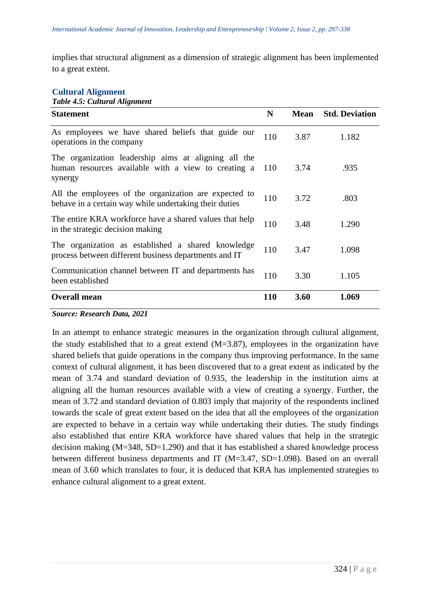implies that structural alignment as a dimension of strategic alignment has been implemented to a great extent.

#### **Cultural Alignment**

*Table 4.5: Cultural Alignment*

| <b>Statement</b>                                                                                                       | N          | <b>Mean</b> | <b>Std. Deviation</b> |
|------------------------------------------------------------------------------------------------------------------------|------------|-------------|-----------------------|
| As employees we have shared beliefs that guide our<br>operations in the company                                        | 110        | 3.87        | 1.182                 |
| The organization leadership aims at aligning all the<br>human resources available with a view to creating a<br>synergy | 110        | 3.74        | .935                  |
| All the employees of the organization are expected to<br>behave in a certain way while undertaking their duties        | 110        | 3.72        | .803                  |
| The entire KRA workforce have a shared values that help<br>in the strategic decision making                            | 110        | 3.48        | 1.290                 |
| The organization as established a shared knowledge<br>process between different business departments and IT            | 110        | 3.47        | 1.098                 |
| Communication channel between IT and departments has<br>been established                                               | 110        | 3.30        | 1.105                 |
| <b>Overall mean</b>                                                                                                    | <b>110</b> | 3.60        | 1.069                 |

#### *Source: Research Data, 2021*

In an attempt to enhance strategic measures in the organization through cultural alignment, the study established that to a great extend  $(M=3.87)$ , employees in the organization have shared beliefs that guide operations in the company thus improving performance. In the same context of cultural alignment, it has been discovered that to a great extent as indicated by the mean of 3.74 and standard deviation of 0.935, the leadership in the institution aims at aligning all the human resources available with a view of creating a synergy. Further, the mean of 3.72 and standard deviation of 0.803 imply that majority of the respondents inclined towards the scale of great extent based on the idea that all the employees of the organization are expected to behave in a certain way while undertaking their duties. The study findings also established that entire KRA workforce have shared values that help in the strategic decision making (M=348, SD=1.290) and that it has established a shared knowledge process between different business departments and IT (M=3.47, SD=1.098). Based on an overall mean of 3.60 which translates to four, it is deduced that KRA has implemented strategies to enhance cultural alignment to a great extent.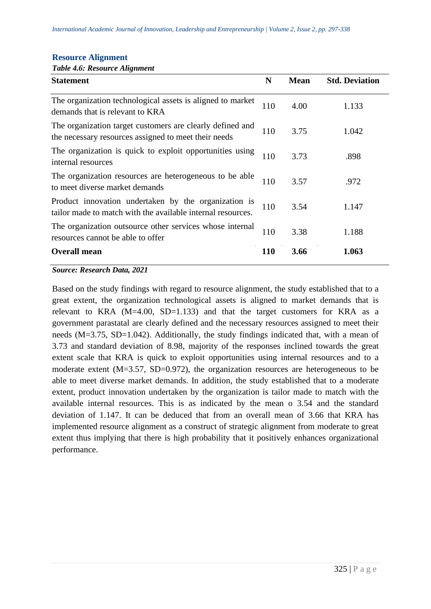| <b>Resource Alignment</b> |
|---------------------------|
|---------------------------|

|  |  | Table 4.6: Resource Alignment |
|--|--|-------------------------------|
|--|--|-------------------------------|

| <b>Statement</b>                                                                                                    | N          | <b>Mean</b> | <b>Std. Deviation</b> |
|---------------------------------------------------------------------------------------------------------------------|------------|-------------|-----------------------|
| The organization technological assets is aligned to market<br>demands that is relevant to KRA                       | 110        | 4.00        | 1.133                 |
| The organization target customers are clearly defined and<br>the necessary resources assigned to meet their needs   | 110        | 3.75        | 1.042                 |
| The organization is quick to exploit opportunities using<br>internal resources                                      | 110        | 3.73        | .898                  |
| The organization resources are heterogeneous to be able<br>to meet diverse market demands                           | 110        | 3.57        | .972                  |
| Product innovation undertaken by the organization is<br>tailor made to match with the available internal resources. | 110        | 3.54        | 1.147                 |
| The organization outsource other services whose internal<br>resources cannot be able to offer                       | 110        | 3.38        | 1.188                 |
| <b>Overall mean</b>                                                                                                 | <b>110</b> | 3.66        | 1.063                 |

#### *Source: Research Data, 2021*

Based on the study findings with regard to resource alignment, the study established that to a great extent, the organization technological assets is aligned to market demands that is relevant to KRA  $(M=4.00, SD=1.133)$  and that the target customers for KRA as a government parastatal are clearly defined and the necessary resources assigned to meet their needs (M=3.75, SD=1.042). Additionally, the study findings indicated that, with a mean of 3.73 and standard deviation of 8.98, majority of the responses inclined towards the great extent scale that KRA is quick to exploit opportunities using internal resources and to a moderate extent (M=3.57, SD=0.972), the organization resources are heterogeneous to be able to meet diverse market demands. In addition, the study established that to a moderate extent, product innovation undertaken by the organization is tailor made to match with the available internal resources. This is as indicated by the mean o 3.54 and the standard deviation of 1.147. It can be deduced that from an overall mean of 3.66 that KRA has implemented resource alignment as a construct of strategic alignment from moderate to great extent thus implying that there is high probability that it positively enhances organizational performance.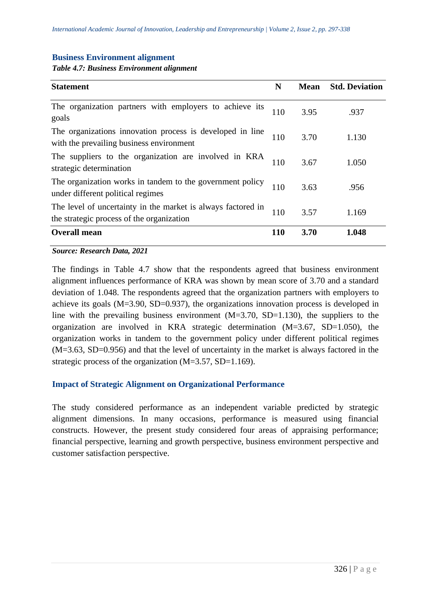#### **Business Environment alignment**

*Table 4.7: Business Environment alignment*

| <b>Statement</b>                                                                                          | N          | <b>Mean</b> | <b>Std. Deviation</b> |
|-----------------------------------------------------------------------------------------------------------|------------|-------------|-----------------------|
| The organization partners with employers to achieve its<br>goals                                          | 110        | 3.95        | .937                  |
| The organizations innovation process is developed in line<br>with the prevailing business environment     | 110        | 3.70        | 1.130                 |
| The suppliers to the organization are involved in KRA<br>strategic determination                          | 110        | 3.67        | 1.050                 |
| The organization works in tandem to the government policy<br>under different political regimes            | 110        | 3.63        | .956                  |
| The level of uncertainty in the market is always factored in<br>the strategic process of the organization | 110        | 3.57        | 1.169                 |
| <b>Overall mean</b>                                                                                       | <b>110</b> | 3.70        | 1.048                 |

*Source: Research Data, 2021*

The findings in Table 4.7 show that the respondents agreed that business environment alignment influences performance of KRA was shown by mean score of 3.70 and a standard deviation of 1.048. The respondents agreed that the organization partners with employers to achieve its goals (M=3.90, SD=0.937), the organizations innovation process is developed in line with the prevailing business environment (M=3.70, SD=1.130), the suppliers to the organization are involved in KRA strategic determination (M=3.67, SD=1.050), the organization works in tandem to the government policy under different political regimes (M=3.63, SD=0.956) and that the level of uncertainty in the market is always factored in the strategic process of the organization (M=3.57, SD=1.169).

#### **Impact of Strategic Alignment on Organizational Performance**

The study considered performance as an independent variable predicted by strategic alignment dimensions. In many occasions, performance is measured using financial constructs. However, the present study considered four areas of appraising performance; financial perspective, learning and growth perspective, business environment perspective and customer satisfaction perspective.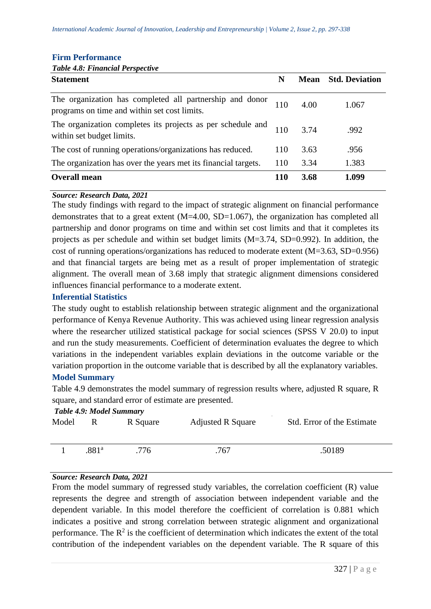|  | <b>Firm Performance</b> |
|--|-------------------------|
|--|-------------------------|

# *Table 4.8: Financial Perspective*

| <b>Statement</b>                                                                                         | N          |      | <b>Mean</b> Std. Deviation |
|----------------------------------------------------------------------------------------------------------|------------|------|----------------------------|
| The organization has completed all partnership and donor<br>programs on time and within set cost limits. | 110        | 4.00 | 1.067                      |
| The organization completes its projects as per schedule and<br>within set budget limits.                 | 110        | 3.74 | .992                       |
| The cost of running operations/organizations has reduced.                                                | 110        | 3.63 | .956                       |
| The organization has over the years met its financial targets.                                           | 110        | 3.34 | 1.383                      |
| <b>Overall mean</b>                                                                                      | <b>110</b> | 3.68 | 1.099                      |

#### *Source: Research Data, 2021*

The study findings with regard to the impact of strategic alignment on financial performance demonstrates that to a great extent (M=4.00, SD=1.067), the organization has completed all partnership and donor programs on time and within set cost limits and that it completes its projects as per schedule and within set budget limits (M=3.74, SD=0.992). In addition, the cost of running operations/organizations has reduced to moderate extent (M=3.63, SD=0.956) and that financial targets are being met as a result of proper implementation of strategic alignment. The overall mean of 3.68 imply that strategic alignment dimensions considered influences financial performance to a moderate extent.

#### **Inferential Statistics**

The study ought to establish relationship between strategic alignment and the organizational performance of Kenya Revenue Authority. This was achieved using linear regression analysis where the researcher utilized statistical package for social sciences (SPSS V 20.0) to input and run the study measurements. Coefficient of determination evaluates the degree to which variations in the independent variables explain deviations in the outcome variable or the variation proportion in the outcome variable that is described by all the explanatory variables. **Model Summary**

# Table 4.9 demonstrates the model summary of regression results where, adjusted R square, R square, and standard error of estimate are presented.

#### *Table 4.9: Model Summary*

| .50189 |
|--------|
|        |

#### *Source: Research Data, 2021*

From the model summary of regressed study variables, the correlation coefficient (R) value represents the degree and strength of association between independent variable and the dependent variable. In this model therefore the coefficient of correlation is 0.881 which indicates a positive and strong correlation between strategic alignment and organizational performance. The  $R^2$  is the coefficient of determination which indicates the extent of the total contribution of the independent variables on the dependent variable. The R square of this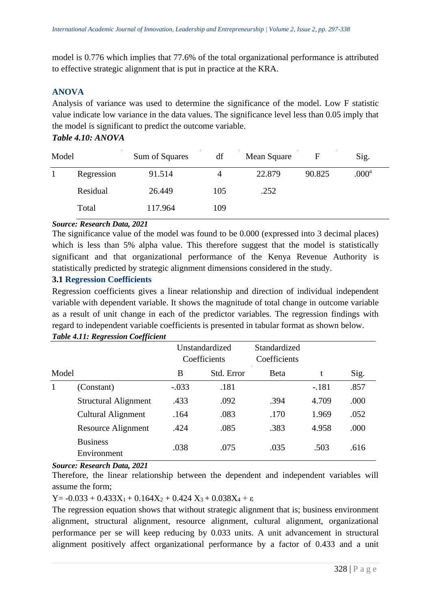model is 0.776 which implies that 77.6% of the total organizational performance is attributed to effective strategic alignment that is put in practice at the KRA.

# **ANOVA**

Analysis of variance was used to determine the significance of the model. Low F statistic value indicate low variance in the data values. The significance level less than 0.05 imply that the model is significant to predict the outcome variable.

# *Table 4.10: ANOVA*

| Model |            | Sum of Squares | df  | Mean Square |        | Sig.              |
|-------|------------|----------------|-----|-------------|--------|-------------------|
|       | Regression | 91.514         | 4   | 22.879      | 90.825 | .000 <sup>a</sup> |
|       | Residual   | 26.449         | 105 | .252        |        |                   |
|       | Total      | 117.964        | 109 |             |        |                   |

#### *Source: Research Data, 2021*

The significance value of the model was found to be 0.000 (expressed into 3 decimal places) which is less than 5% alpha value. This therefore suggest that the model is statistically significant and that organizational performance of the Kenya Revenue Authority is statistically predicted by strategic alignment dimensions considered in the study.

# **3.1 Regression Coefficients**

Regression coefficients gives a linear relationship and direction of individual independent variable with dependent variable. It shows the magnitude of total change in outcome variable as a result of unit change in each of the predictor variables. The regression findings with regard to independent variable coefficients is presented in tabular format as shown below.

|       |                                | Unstandardized<br>Coefficients |            | Standardized<br>Coefficients |         |      |
|-------|--------------------------------|--------------------------------|------------|------------------------------|---------|------|
| Model |                                | B                              | Std. Error | <b>Beta</b>                  | t       | Sig. |
|       | (Constant)                     | $-.033$                        | .181       |                              | $-.181$ | .857 |
|       | <b>Structural Alignment</b>    | .433                           | .092       | .394                         | 4.709   | .000 |
|       | <b>Cultural Alignment</b>      | .164                           | .083       | .170                         | 1.969   | .052 |
|       | Resource Alignment             | .424                           | .085       | .383                         | 4.958   | .000 |
|       | <b>Business</b><br>Environment | .038                           | .075       | .035                         | .503    | .616 |

# *Table 4.11: Regression Coefficient*

#### *Source: Research Data, 2021*

Therefore, the linear relationship between the dependent and independent variables will assume the form;

Y =  $-0.033 + 0.433X_1 + 0.164X_2 + 0.424X_3 + 0.038X_4 + \varepsilon$ 

The regression equation shows that without strategic alignment that is; business environment alignment, structural alignment, resource alignment, cultural alignment, organizational performance per se will keep reducing by 0.033 units. A unit advancement in structural alignment positively affect organizational performance by a factor of 0.433 and a unit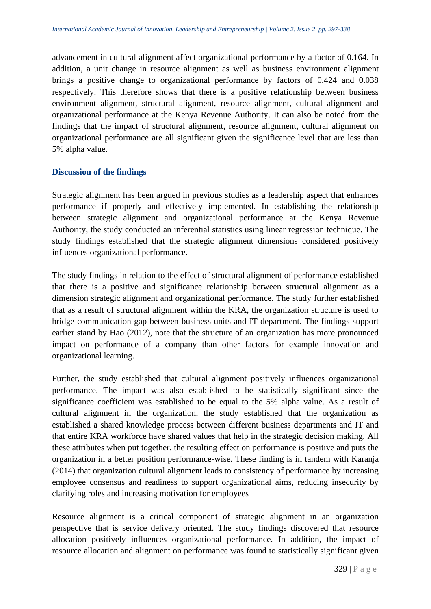advancement in cultural alignment affect organizational performance by a factor of 0.164. In addition, a unit change in resource alignment as well as business environment alignment brings a positive change to organizational performance by factors of 0.424 and 0.038 respectively. This therefore shows that there is a positive relationship between business environment alignment, structural alignment, resource alignment, cultural alignment and organizational performance at the Kenya Revenue Authority. It can also be noted from the findings that the impact of structural alignment, resource alignment, cultural alignment on organizational performance are all significant given the significance level that are less than 5% alpha value.

# **Discussion of the findings**

Strategic alignment has been argued in previous studies as a leadership aspect that enhances performance if properly and effectively implemented. In establishing the relationship between strategic alignment and organizational performance at the Kenya Revenue Authority, the study conducted an inferential statistics using linear regression technique. The study findings established that the strategic alignment dimensions considered positively influences organizational performance.

The study findings in relation to the effect of structural alignment of performance established that there is a positive and significance relationship between structural alignment as a dimension strategic alignment and organizational performance. The study further established that as a result of structural alignment within the KRA, the organization structure is used to bridge communication gap between business units and IT department. The findings support earlier stand by Hao (2012), note that the structure of an organization has more pronounced impact on performance of a company than other factors for example innovation and organizational learning.

Further, the study established that cultural alignment positively influences organizational performance. The impact was also established to be statistically significant since the significance coefficient was established to be equal to the 5% alpha value. As a result of cultural alignment in the organization, the study established that the organization as established a shared knowledge process between different business departments and IT and that entire KRA workforce have shared values that help in the strategic decision making. All these attributes when put together, the resulting effect on performance is positive and puts the organization in a better position performance-wise. These finding is in tandem with Karanja (2014) that organization cultural alignment leads to consistency of performance by increasing employee consensus and readiness to support organizational aims, reducing insecurity by clarifying roles and increasing motivation for employees

Resource alignment is a critical component of strategic alignment in an organization perspective that is service delivery oriented. The study findings discovered that resource allocation positively influences organizational performance. In addition, the impact of resource allocation and alignment on performance was found to statistically significant given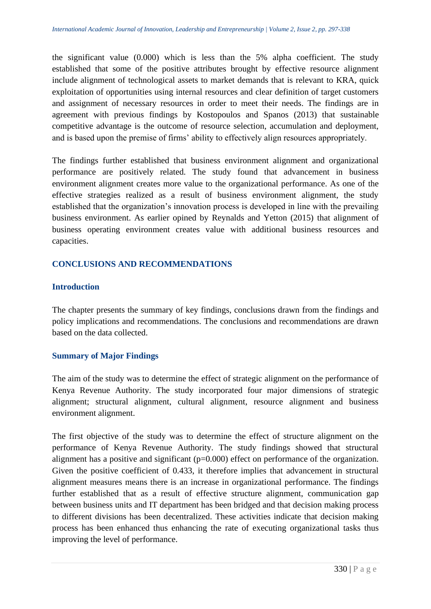the significant value (0.000) which is less than the 5% alpha coefficient. The study established that some of the positive attributes brought by effective resource alignment include alignment of technological assets to market demands that is relevant to KRA, quick exploitation of opportunities using internal resources and clear definition of target customers and assignment of necessary resources in order to meet their needs. The findings are in agreement with previous findings by Kostopoulos and Spanos (2013) that sustainable competitive advantage is the outcome of resource selection, accumulation and deployment, and is based upon the premise of firms' ability to effectively align resources appropriately.

The findings further established that business environment alignment and organizational performance are positively related. The study found that advancement in business environment alignment creates more value to the organizational performance. As one of the effective strategies realized as a result of business environment alignment, the study established that the organization's innovation process is developed in line with the prevailing business environment. As earlier opined by Reynalds and Yetton (2015) that alignment of business operating environment creates value with additional business resources and capacities.

# **CONCLUSIONS AND RECOMMENDATIONS**

#### **Introduction**

The chapter presents the summary of key findings, conclusions drawn from the findings and policy implications and recommendations. The conclusions and recommendations are drawn based on the data collected.

#### **Summary of Major Findings**

The aim of the study was to determine the effect of strategic alignment on the performance of Kenya Revenue Authority. The study incorporated four major dimensions of strategic alignment; structural alignment, cultural alignment, resource alignment and business environment alignment.

The first objective of the study was to determine the effect of structure alignment on the performance of Kenya Revenue Authority. The study findings showed that structural alignment has a positive and significant (p=0.000) effect on performance of the organization. Given the positive coefficient of 0.433, it therefore implies that advancement in structural alignment measures means there is an increase in organizational performance. The findings further established that as a result of effective structure alignment, communication gap between business units and IT department has been bridged and that decision making process to different divisions has been decentralized. These activities indicate that decision making process has been enhanced thus enhancing the rate of executing organizational tasks thus improving the level of performance.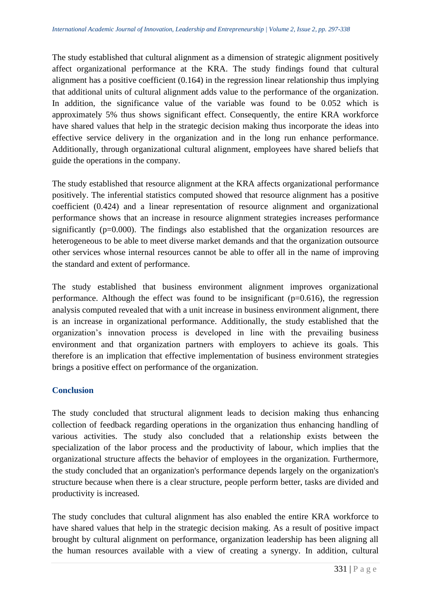The study established that cultural alignment as a dimension of strategic alignment positively affect organizational performance at the KRA. The study findings found that cultural alignment has a positive coefficient (0.164) in the regression linear relationship thus implying that additional units of cultural alignment adds value to the performance of the organization. In addition, the significance value of the variable was found to be 0.052 which is approximately 5% thus shows significant effect. Consequently, the entire KRA workforce have shared values that help in the strategic decision making thus incorporate the ideas into effective service delivery in the organization and in the long run enhance performance. Additionally, through organizational cultural alignment, employees have shared beliefs that guide the operations in the company.

The study established that resource alignment at the KRA affects organizational performance positively. The inferential statistics computed showed that resource alignment has a positive coefficient (0.424) and a linear representation of resource alignment and organizational performance shows that an increase in resource alignment strategies increases performance significantly (p=0.000). The findings also established that the organization resources are heterogeneous to be able to meet diverse market demands and that the organization outsource other services whose internal resources cannot be able to offer all in the name of improving the standard and extent of performance.

The study established that business environment alignment improves organizational performance. Although the effect was found to be insignificant  $(p=0.616)$ , the regression analysis computed revealed that with a unit increase in business environment alignment, there is an increase in organizational performance. Additionally, the study established that the organization's innovation process is developed in line with the prevailing business environment and that organization partners with employers to achieve its goals. This therefore is an implication that effective implementation of business environment strategies brings a positive effect on performance of the organization.

#### **Conclusion**

The study concluded that structural alignment leads to decision making thus enhancing collection of feedback regarding operations in the organization thus enhancing handling of various activities. The study also concluded that a relationship exists between the specialization of the labor process and the productivity of labour, which implies that the organizational structure affects the behavior of employees in the organization. Furthermore, the study concluded that an organization's performance depends largely on the organization's structure because when there is a clear structure, people perform better, tasks are divided and productivity is increased.

The study concludes that cultural alignment has also enabled the entire KRA workforce to have shared values that help in the strategic decision making. As a result of positive impact brought by cultural alignment on performance, organization leadership has been aligning all the human resources available with a view of creating a synergy. In addition, cultural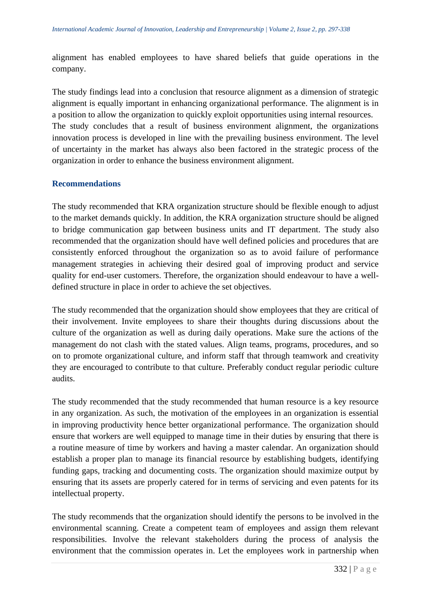alignment has enabled employees to have shared beliefs that guide operations in the company.

The study findings lead into a conclusion that resource alignment as a dimension of strategic alignment is equally important in enhancing organizational performance. The alignment is in a position to allow the organization to quickly exploit opportunities using internal resources. The study concludes that a result of business environment alignment, the organizations innovation process is developed in line with the prevailing business environment. The level of uncertainty in the market has always also been factored in the strategic process of the organization in order to enhance the business environment alignment.

# **Recommendations**

The study recommended that KRA organization structure should be flexible enough to adjust to the market demands quickly. In addition, the KRA organization structure should be aligned to bridge communication gap between business units and IT department. The study also recommended that the organization should have well defined policies and procedures that are consistently enforced throughout the organization so as to avoid failure of performance management strategies in achieving their desired goal of improving product and service quality for end-user customers. Therefore, the organization should endeavour to have a welldefined structure in place in order to achieve the set objectives.

The study recommended that the organization should show employees that they are critical of their involvement. Invite employees to share their thoughts during discussions about the culture of the organization as well as during daily operations. Make sure the actions of the management do not clash with the stated values. Align teams, programs, procedures, and so on to promote organizational culture, and inform staff that through teamwork and creativity they are encouraged to contribute to that culture. Preferably conduct regular periodic culture audits.

The study recommended that the study recommended that human resource is a key resource in any organization. As such, the motivation of the employees in an organization is essential in improving productivity hence better organizational performance. The organization should ensure that workers are well equipped to manage time in their duties by ensuring that there is a routine measure of time by workers and having a master calendar. An organization should establish a proper plan to manage its financial resource by establishing budgets, identifying funding gaps, tracking and documenting costs. The organization should maximize output by ensuring that its assets are properly catered for in terms of servicing and even patents for its intellectual property.

The study recommends that the organization should identify the persons to be involved in the environmental scanning. Create a competent team of employees and assign them relevant responsibilities. Involve the relevant stakeholders during the process of analysis the environment that the commission operates in. Let the employees work in partnership when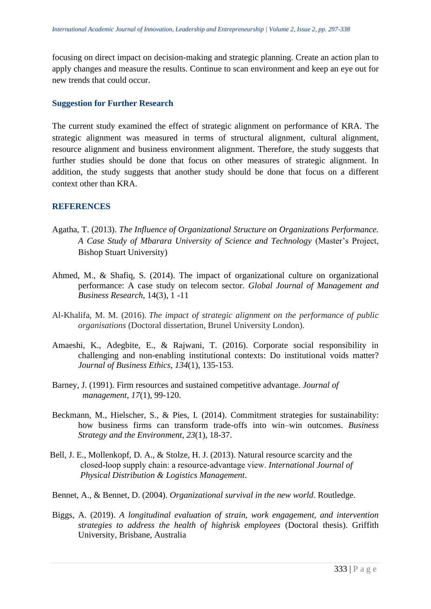focusing on direct impact on decision-making and strategic planning. Create an action plan to apply changes and measure the results. Continue to scan environment and keep an eye out for new trends that could occur.

#### **Suggestion for Further Research**

The current study examined the effect of strategic alignment on performance of KRA. The strategic alignment was measured in terms of structural alignment, cultural alignment, resource alignment and business environment alignment. Therefore, the study suggests that further studies should be done that focus on other measures of strategic alignment. In addition, the study suggests that another study should be done that focus on a different context other than KRA.

#### **REFERENCES**

- Agatha, T. (2013). *The Influence of Organizational Structure on Organizations Performance. A Case Study of Mbarara University of Science and Technology* (Master's Project, Bishop Stuart University)
- Ahmed, M., & Shafiq, S. (2014). The impact of organizational culture on organizational performance: A case study on telecom sector. *Global Journal of Management and Business Research,* 14(3), 1 -11
- Al-Khalifa, M. M. (2016). *The impact of strategic alignment on the performance of public organisations* (Doctoral dissertation, Brunel University London).
- Amaeshi, K., Adegbite, E., & Rajwani, T. (2016). Corporate social responsibility in challenging and non-enabling institutional contexts: Do institutional voids matter? *Journal of Business Ethics*, *134*(1), 135-153.
- Barney, J. (1991). Firm resources and sustained competitive advantage. *Journal of management*, *17*(1), 99-120.
- Beckmann, M., Hielscher, S., & Pies, I. (2014). Commitment strategies for sustainability: how business firms can transform trade-offs into win–win outcomes. *Business Strategy and the Environment*, *23*(1), 18-37.
- Bell, J. E., Mollenkopf, D. A., & Stolze, H. J. (2013). Natural resource scarcity and the closed‐loop supply chain: a resource‐advantage view. *International Journal of Physical Distribution & Logistics Management*.
- Bennet, A., & Bennet, D. (2004). *Organizational survival in the new world*. Routledge.
- Biggs, A. (2019). *A longitudinal evaluation of strain, work engagement, and intervention strategies to address the health of highrisk employees* (Doctoral thesis). Griffith University, Brisbane, Australia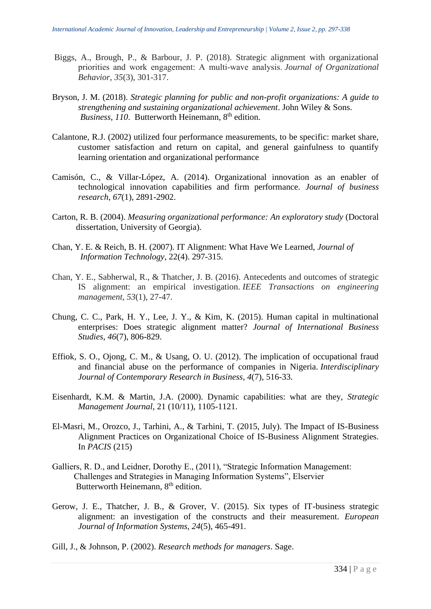- Biggs, A., Brough, P., & Barbour, J. P. (2018). Strategic alignment with organizational priorities and work engagement: A multi‐wave analysis. *Journal of Organizational Behavior*, *35*(3), 301-317.
- Bryson, J. M. (2018). *Strategic planning for public and non-profit organizations: A guide to strengthening and sustaining organizational achievement*. John Wiley & Sons. *Business, 110.* Butterworth Heinemann, 8<sup>th</sup> edition.
- Calantone, R.J. (2002) utilized four performance measurements, to be specific: market share, customer satisfaction and return on capital, and general gainfulness to quantify learning orientation and organizational performance
- Camisón, C., & Villar-López, A. (2014). Organizational innovation as an enabler of technological innovation capabilities and firm performance. *Journal of business research*, *67*(1), 2891-2902.
- Carton, R. B. (2004). *Measuring organizational performance: An exploratory study* (Doctoral dissertation, University of Georgia).
- Chan, Y. E. & Reich, B. H. (2007). IT Alignment: What Have We Learned, *Journal of Information Technology*, 22(4). 297-315.
- Chan, Y. E., Sabherwal, R., & Thatcher, J. B. (2016). Antecedents and outcomes of strategic IS alignment: an empirical investigation. *IEEE Transactions on engineering management*, *53*(1), 27-47.
- Chung, C. C., Park, H. Y., Lee, J. Y., & Kim, K. (2015). Human capital in multinational enterprises: Does strategic alignment matter? *Journal of International Business Studies*, *46*(7), 806-829.
- Effiok, S. O., Ojong, C. M., & Usang, O. U. (2012). The implication of occupational fraud and financial abuse on the performance of companies in Nigeria. *Interdisciplinary Journal of Contemporary Research in Business*, *4*(7), 516-33.
- Eisenhardt, K.M. & Martin, J.A. (2000). Dynamic capabilities: what are they, *Strategic Management Journal*, 21 (10/11), 1105-1121.
- El-Masri, M., Orozco, J., Tarhini, A., & Tarhini, T. (2015, July). The Impact of IS-Business Alignment Practices on Organizational Choice of IS-Business Alignment Strategies. In *PACIS* (215)
- Galliers, R. D., and Leidner, Dorothy E., (2011), "Strategic Information Management: Challenges and Strategies in Managing Information Systems", Elservier Butterworth Heinemann, 8<sup>th</sup> edition.
- Gerow, J. E., Thatcher, J. B., & Grover, V. (2015). Six types of IT-business strategic alignment: an investigation of the constructs and their measurement. *European Journal of Information Systems*, *24*(5), 465-491.
- Gill, J., & Johnson, P. (2002). *Research methods for managers*. Sage.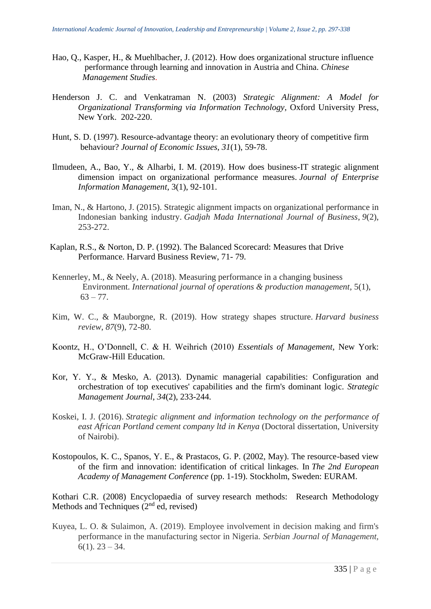- Hao, Q., Kasper, H., & Muehlbacher, J. (2012). How does organizational structure influence performance through learning and innovation in Austria and China. *Chinese Management Studies*.
- Henderson J. C. and Venkatraman N. (2003) *Strategic Alignment: A Model for Organizational Transforming via Information Technology*, Oxford University Press, New York. 202-220.
- Hunt, S. D. (1997). Resource-advantage theory: an evolutionary theory of competitive firm behaviour? *Journal of Economic Issues*, *31*(1), 59-78.
- Ilmudeen, A., Bao, Y., & Alharbi, I. M. (2019). How does business-IT strategic alignment dimension impact on organizational performance measures. *Journal of Enterprise Information Management*, 3(1), 92-101.
- Iman, N., & Hartono, J. (2015). Strategic alignment impacts on organizational performance in Indonesian banking industry. *Gadjah Mada International Journal of Business*, *9*(2), 253-272.
- Kaplan, R.S., & Norton, D. P. (1992). The Balanced Scorecard: Measures that Drive Performance. Harvard Business Review, 71- 79.
- Kennerley, M., & Neely, A. (2018). Measuring performance in a changing business Environment. *International journal of operations & production management*, 5(1),  $63 - 77.$
- Kim, W. C., & Mauborgne, R. (2019). How strategy shapes structure. *Harvard business review*, *87*(9), 72-80.
- Koontz, H., O'Donnell, C. & H. Weihrich (2010) *Essentials of Management*, New York: McGraw-Hill Education.
- Kor, Y. Y., & Mesko, A. (2013). Dynamic managerial capabilities: Configuration and orchestration of top executives' capabilities and the firm's dominant logic. *Strategic Management Journal*, *34*(2), 233-244.
- Koskei, I. J. (2016). *Strategic alignment and information technology on the performance of east African Portland cement company ltd in Kenya* (Doctoral dissertation, University of Nairobi).
- Kostopoulos, K. C., Spanos, Y. E., & Prastacos, G. P. (2002, May). The resource-based view of the firm and innovation: identification of critical linkages. In *The 2nd European Academy of Management Conference* (pp. 1-19). Stockholm, Sweden: EURAM.

Kothari C.R. (2008) Encyclopaedia of survey research methods: Research Methodology Methods and Techniques  $(2<sup>nd</sup>$  ed, revised)

Kuyea, L. O. & Sulaimon, A. (2019). Employee involvement in decision making and firm's performance in the manufacturing sector in Nigeria. *Serbian Journal of Management,*  $6(1)$ . 23 – 34.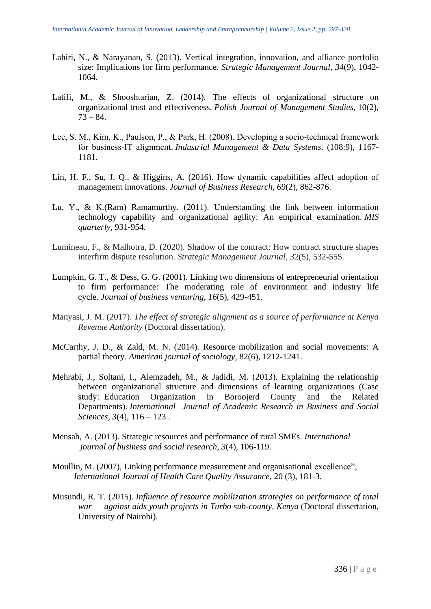- Lahiri, N., & Narayanan, S. (2013). Vertical integration, innovation, and alliance portfolio size: Implications for firm performance. *Strategic Management Journal*, *34*(9), 1042- 1064.
- Latifi, M., & Shooshtarian, Z. (2014). The effects of organizational structure on organizational trust and effectiveness. *Polish Journal of Management Studies*, 10(2),  $73 - 84.$
- Lee, S. M., Kim, K., Paulson, P., & Park, H. (2008). Developing a socio‐technical framework for business‐IT alignment. *Industrial Management & Data Systems*. (108:9), 1167- 1181.
- Lin, H. F., Su, J. Q., & Higgins, A. (2016). How dynamic capabilities affect adoption of management innovations. *Journal of Business Research*, *69*(2), 862-876.
- Lu, Y., & K.(Ram) Ramamurthy. (2011). Understanding the link between information technology capability and organizational agility: An empirical examination. *MIS quarterly*, 931-954.
- Lumineau, F., & Malhotra, D. (2020). Shadow of the contract: How contract structure shapes interfirm dispute resolution. *Strategic Management Journal*, *32*(5), 532-555.
- Lumpkin, G. T., & Dess, G. G. (2001). Linking two dimensions of entrepreneurial orientation to firm performance: The moderating role of environment and industry life cycle. *Journal of business venturing*, *16*(5), 429-451.
- Manyasi, J. M. (2017). *The effect of strategic alignment as a source of performance at Kenya Revenue Authority* (Doctoral dissertation).
- McCarthy, J. D., & Zald, M. N. (2014). Resource mobilization and social movements: A partial theory. *American journal of sociology,* 82(6), 1212-1241.
- Mehrabi, J., Soltani, I., Alemzadeh, M., & Jadidi, M. (2013). Explaining the relationship between organizational structure and dimensions of learning organizations (Case study: Education Organization in Boroojerd County and the Related Departments). *International Journal of Academic Research in Business and Social Sciences*, *3*(4), 116 – 123 .
- Mensah, A. (2013). Strategic resources and performance of rural SMEs. *International journal of business and social research*, *3*(4), 106-119.
- Moullin, M. (2007), Linking performance measurement and organisational excellence", *International Journal of Health Care Quality Assurance*, 20 (3), 181-3.
- Musundi, R. T. (2015). *Influence of resource mobilization strategies on performance of total war against aids youth projects in Turbo sub-county, Kenya* (Doctoral dissertation, University of Nairobi).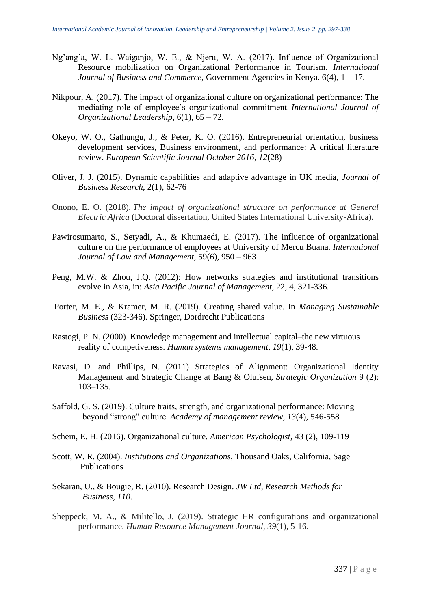- Ng'ang'a, W. L. Waiganjo, W. E., & Njeru, W. A. (2017). Influence of Organizational Resource mobilization on Organizational Performance in Tourism. *International Journal of Business and Commerce,* Government Agencies in Kenya. 6(4), 1 – 17.
- Nikpour, A. (2017). The impact of organizational culture on organizational performance: The mediating role of employee's organizational commitment. *International Journal of Organizational Leadership*, 6(1), 65 – 72.
- Okeyo, W. O., Gathungu, J., & Peter, K. O. (2016). Entrepreneurial orientation, business development services, Business environment, and performance: A critical literature review. *European Scientific Journal October 2016*, *12*(28)
- Oliver, J. J. (2015). Dynamic capabilities and adaptive advantage in UK media, *Journal of Business Research*, 2(1), 62-76
- Onono, E. O. (2018). *The impact of organizational structure on performance at General Electric Africa* (Doctoral dissertation, United States International University-Africa).
- Pawirosumarto, S., Setyadi, A., & Khumaedi, E. (2017). The influence of organizational culture on the performance of employees at University of Mercu Buana. *International Journal of Law and Management*, 59(6), 950 – 963
- Peng, M.W. & Zhou, J.Q. (2012): How networks strategies and institutional transitions evolve in Asia, in: *Asia Pacific Journal of Management*, 22, 4, 321-336.
- Porter, M. E., & Kramer, M. R. (2019). Creating shared value. In *Managing Sustainable Business* (323-346). Springer, Dordrecht Publications
- Rastogi, P. N. (2000). Knowledge management and intellectual capital–the new virtuous reality of competiveness. *Human systems management*, *19*(1), 39-48.
- Ravasi, D. and Phillips, N. (2011) Strategies of Alignment: Organizational Identity Management and Strategic Change at Bang & Olufsen, *Strategic Organization* 9 (2): 103–135.
- Saffold, G. S. (2019). Culture traits, strength, and organizational performance: Moving beyond "strong" culture. *Academy of management review*, *13*(4), 546-558
- Schein, E. H. (2016). Organizational culture. *American Psychologist,* 43 (2), 109-119
- Scott, W. R. (2004). *Institutions and Organizations*, Thousand Oaks, California, Sage Publications
- Sekaran, U., & Bougie, R. (2010). Research Design. *JW Ltd, Research Methods for Business*, *110*.
- Sheppeck, M. A., & Militello, J. (2019). Strategic HR configurations and organizational performance. *Human Resource Management Journal*, *39*(1), 5-16.